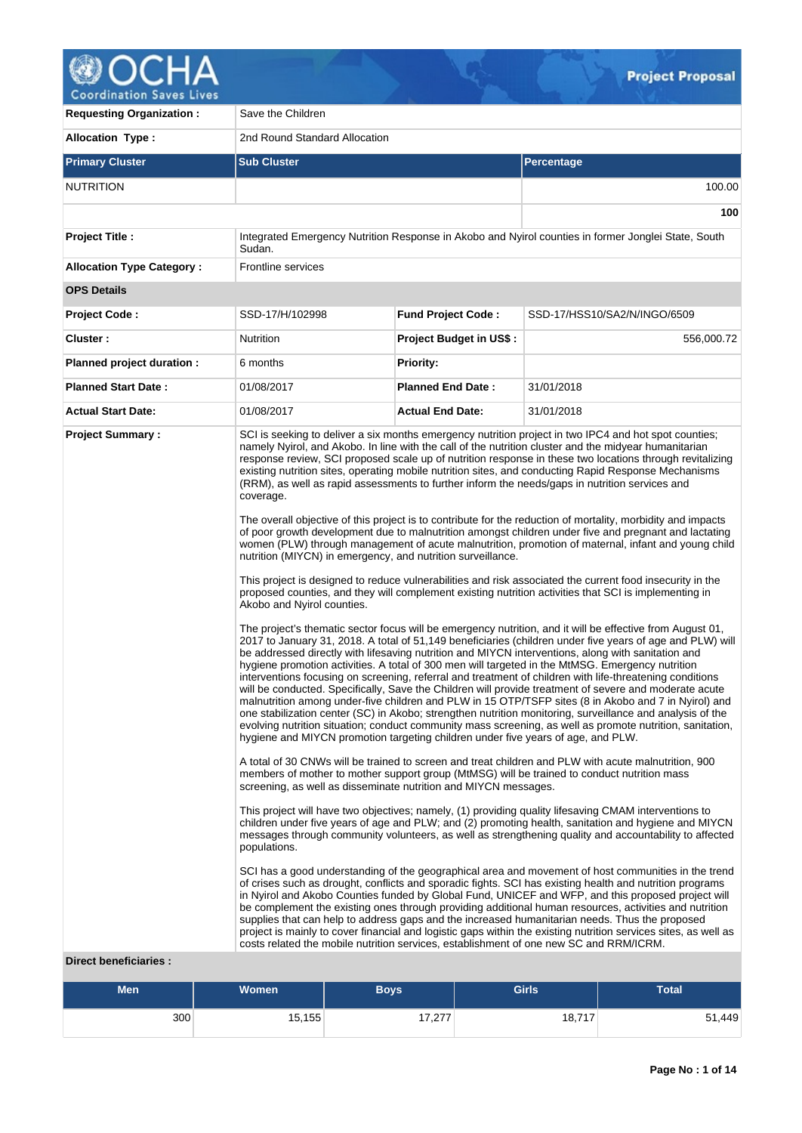

**Coordination Saves Lives** 

| <b>Requesting Organization:</b>  | Save the Children                                                                                                                                                                                                                                             |                                |                                                                                                                                                                                                                                                                                                                                                                                                                                                                                                                                                                                                                                                                                                                                                                                                                                                                                                                                                                                                                                                                                                                                                                                                                                                                                                                                                                                                                                                                                                                                                                                                                                                                                                                                                                                                                                                                                                                                                                                                                                                                                                                                                                                                                                                                                               |
|----------------------------------|---------------------------------------------------------------------------------------------------------------------------------------------------------------------------------------------------------------------------------------------------------------|--------------------------------|-----------------------------------------------------------------------------------------------------------------------------------------------------------------------------------------------------------------------------------------------------------------------------------------------------------------------------------------------------------------------------------------------------------------------------------------------------------------------------------------------------------------------------------------------------------------------------------------------------------------------------------------------------------------------------------------------------------------------------------------------------------------------------------------------------------------------------------------------------------------------------------------------------------------------------------------------------------------------------------------------------------------------------------------------------------------------------------------------------------------------------------------------------------------------------------------------------------------------------------------------------------------------------------------------------------------------------------------------------------------------------------------------------------------------------------------------------------------------------------------------------------------------------------------------------------------------------------------------------------------------------------------------------------------------------------------------------------------------------------------------------------------------------------------------------------------------------------------------------------------------------------------------------------------------------------------------------------------------------------------------------------------------------------------------------------------------------------------------------------------------------------------------------------------------------------------------------------------------------------------------------------------------------------------------|
| <b>Allocation Type:</b>          | 2nd Round Standard Allocation                                                                                                                                                                                                                                 |                                |                                                                                                                                                                                                                                                                                                                                                                                                                                                                                                                                                                                                                                                                                                                                                                                                                                                                                                                                                                                                                                                                                                                                                                                                                                                                                                                                                                                                                                                                                                                                                                                                                                                                                                                                                                                                                                                                                                                                                                                                                                                                                                                                                                                                                                                                                               |
| <b>Primary Cluster</b>           | <b>Sub Cluster</b>                                                                                                                                                                                                                                            |                                | <b>Percentage</b>                                                                                                                                                                                                                                                                                                                                                                                                                                                                                                                                                                                                                                                                                                                                                                                                                                                                                                                                                                                                                                                                                                                                                                                                                                                                                                                                                                                                                                                                                                                                                                                                                                                                                                                                                                                                                                                                                                                                                                                                                                                                                                                                                                                                                                                                             |
| <b>NUTRITION</b>                 |                                                                                                                                                                                                                                                               |                                | 100.00                                                                                                                                                                                                                                                                                                                                                                                                                                                                                                                                                                                                                                                                                                                                                                                                                                                                                                                                                                                                                                                                                                                                                                                                                                                                                                                                                                                                                                                                                                                                                                                                                                                                                                                                                                                                                                                                                                                                                                                                                                                                                                                                                                                                                                                                                        |
|                                  |                                                                                                                                                                                                                                                               |                                | 100                                                                                                                                                                                                                                                                                                                                                                                                                                                                                                                                                                                                                                                                                                                                                                                                                                                                                                                                                                                                                                                                                                                                                                                                                                                                                                                                                                                                                                                                                                                                                                                                                                                                                                                                                                                                                                                                                                                                                                                                                                                                                                                                                                                                                                                                                           |
| <b>Project Title:</b>            | Sudan.                                                                                                                                                                                                                                                        |                                | Integrated Emergency Nutrition Response in Akobo and Nyirol counties in former Jonglei State, South                                                                                                                                                                                                                                                                                                                                                                                                                                                                                                                                                                                                                                                                                                                                                                                                                                                                                                                                                                                                                                                                                                                                                                                                                                                                                                                                                                                                                                                                                                                                                                                                                                                                                                                                                                                                                                                                                                                                                                                                                                                                                                                                                                                           |
| <b>Allocation Type Category:</b> | Frontline services                                                                                                                                                                                                                                            |                                |                                                                                                                                                                                                                                                                                                                                                                                                                                                                                                                                                                                                                                                                                                                                                                                                                                                                                                                                                                                                                                                                                                                                                                                                                                                                                                                                                                                                                                                                                                                                                                                                                                                                                                                                                                                                                                                                                                                                                                                                                                                                                                                                                                                                                                                                                               |
| <b>OPS Details</b>               |                                                                                                                                                                                                                                                               |                                |                                                                                                                                                                                                                                                                                                                                                                                                                                                                                                                                                                                                                                                                                                                                                                                                                                                                                                                                                                                                                                                                                                                                                                                                                                                                                                                                                                                                                                                                                                                                                                                                                                                                                                                                                                                                                                                                                                                                                                                                                                                                                                                                                                                                                                                                                               |
| Project Code:                    | SSD-17/H/102998                                                                                                                                                                                                                                               | <b>Fund Project Code:</b>      | SSD-17/HSS10/SA2/N/INGO/6509                                                                                                                                                                                                                                                                                                                                                                                                                                                                                                                                                                                                                                                                                                                                                                                                                                                                                                                                                                                                                                                                                                                                                                                                                                                                                                                                                                                                                                                                                                                                                                                                                                                                                                                                                                                                                                                                                                                                                                                                                                                                                                                                                                                                                                                                  |
| Cluster:                         | Nutrition                                                                                                                                                                                                                                                     | <b>Project Budget in US\$:</b> | 556,000.72                                                                                                                                                                                                                                                                                                                                                                                                                                                                                                                                                                                                                                                                                                                                                                                                                                                                                                                                                                                                                                                                                                                                                                                                                                                                                                                                                                                                                                                                                                                                                                                                                                                                                                                                                                                                                                                                                                                                                                                                                                                                                                                                                                                                                                                                                    |
| Planned project duration :       | 6 months                                                                                                                                                                                                                                                      | <b>Priority:</b>               |                                                                                                                                                                                                                                                                                                                                                                                                                                                                                                                                                                                                                                                                                                                                                                                                                                                                                                                                                                                                                                                                                                                                                                                                                                                                                                                                                                                                                                                                                                                                                                                                                                                                                                                                                                                                                                                                                                                                                                                                                                                                                                                                                                                                                                                                                               |
| <b>Planned Start Date:</b>       | 01/08/2017                                                                                                                                                                                                                                                    | <b>Planned End Date:</b>       | 31/01/2018                                                                                                                                                                                                                                                                                                                                                                                                                                                                                                                                                                                                                                                                                                                                                                                                                                                                                                                                                                                                                                                                                                                                                                                                                                                                                                                                                                                                                                                                                                                                                                                                                                                                                                                                                                                                                                                                                                                                                                                                                                                                                                                                                                                                                                                                                    |
| <b>Actual Start Date:</b>        | 01/08/2017                                                                                                                                                                                                                                                    | <b>Actual End Date:</b>        | 31/01/2018                                                                                                                                                                                                                                                                                                                                                                                                                                                                                                                                                                                                                                                                                                                                                                                                                                                                                                                                                                                                                                                                                                                                                                                                                                                                                                                                                                                                                                                                                                                                                                                                                                                                                                                                                                                                                                                                                                                                                                                                                                                                                                                                                                                                                                                                                    |
| <b>Project Summary:</b>          | coverage.<br>nutrition (MIYCN) in emergency, and nutrition surveillance.<br>Akobo and Nyirol counties.<br>hygiene and MIYCN promotion targeting children under five years of age, and PLW.<br>screening, as well as disseminate nutrition and MIYCN messages. |                                | SCI is seeking to deliver a six months emergency nutrition project in two IPC4 and hot spot counties;<br>namely Nyirol, and Akobo. In line with the call of the nutrition cluster and the midyear humanitarian<br>response review. SCI proposed scale up of nutrition response in these two locations through revitalizing<br>existing nutrition sites, operating mobile nutrition sites, and conducting Rapid Response Mechanisms<br>(RRM), as well as rapid assessments to further inform the needs/gaps in nutrition services and<br>The overall objective of this project is to contribute for the reduction of mortality, morbidity and impacts<br>of poor growth development due to malnutrition amongst children under five and pregnant and lactating<br>women (PLW) through management of acute malnutrition, promotion of maternal, infant and young child<br>This project is designed to reduce vulnerabilities and risk associated the current food insecurity in the<br>proposed counties, and they will complement existing nutrition activities that SCI is implementing in<br>The project's thematic sector focus will be emergency nutrition, and it will be effective from August 01,<br>2017 to January 31, 2018. A total of 51,149 beneficiaries (children under five years of age and PLW) will<br>be addressed directly with lifesaving nutrition and MIYCN interventions, along with sanitation and<br>hygiene promotion activities. A total of 300 men will targeted in the MtMSG. Emergency nutrition<br>interventions focusing on screening, referral and treatment of children with life-threatening conditions<br>will be conducted. Specifically, Save the Children will provide treatment of severe and moderate acute<br>malnutrition among under-five children and PLW in 15 OTP/TSFP sites (8 in Akobo and 7 in Nyirol) and<br>one stabilization center (SC) in Akobo; strengthen nutrition monitoring, surveillance and analysis of the<br>evolving nutrition situation; conduct community mass screening, as well as promote nutrition, sanitation,<br>A total of 30 CNWs will be trained to screen and treat children and PLW with acute malnutrition, 900<br>members of mother to mother support group (MtMSG) will be trained to conduct nutrition mass |
|                                  | populations.<br>costs related the mobile nutrition services, establishment of one new SC and RRM/ICRM.                                                                                                                                                        |                                | This project will have two objectives; namely, (1) providing quality lifesaving CMAM interventions to<br>children under five years of age and PLW; and (2) promoting health, sanitation and hygiene and MIYCN<br>messages through community volunteers, as well as strengthening quality and accountability to affected<br>SCI has a good understanding of the geographical area and movement of host communities in the trend<br>of crises such as drought, conflicts and sporadic fights. SCI has existing health and nutrition programs<br>in Nyirol and Akobo Counties funded by Global Fund, UNICEF and WFP, and this proposed project will<br>be complement the existing ones through providing additional human resources, activities and nutrition<br>supplies that can help to address gaps and the increased humanitarian needs. Thus the proposed<br>project is mainly to cover financial and logistic gaps within the existing nutrition services sites, as well as                                                                                                                                                                                                                                                                                                                                                                                                                                                                                                                                                                                                                                                                                                                                                                                                                                                                                                                                                                                                                                                                                                                                                                                                                                                                                                               |
| <b>Direct beneficiaries:</b>     |                                                                                                                                                                                                                                                               |                                |                                                                                                                                                                                                                                                                                                                                                                                                                                                                                                                                                                                                                                                                                                                                                                                                                                                                                                                                                                                                                                                                                                                                                                                                                                                                                                                                                                                                                                                                                                                                                                                                                                                                                                                                                                                                                                                                                                                                                                                                                                                                                                                                                                                                                                                                                               |

| Men | <b>Women</b> | <b>Boys</b>        | <b>Girls</b> | <b>Total</b> |
|-----|--------------|--------------------|--------------|--------------|
| 300 | 15, 155      | 1707<br>، ، ∠, ، ، | 18,717       | 51,449       |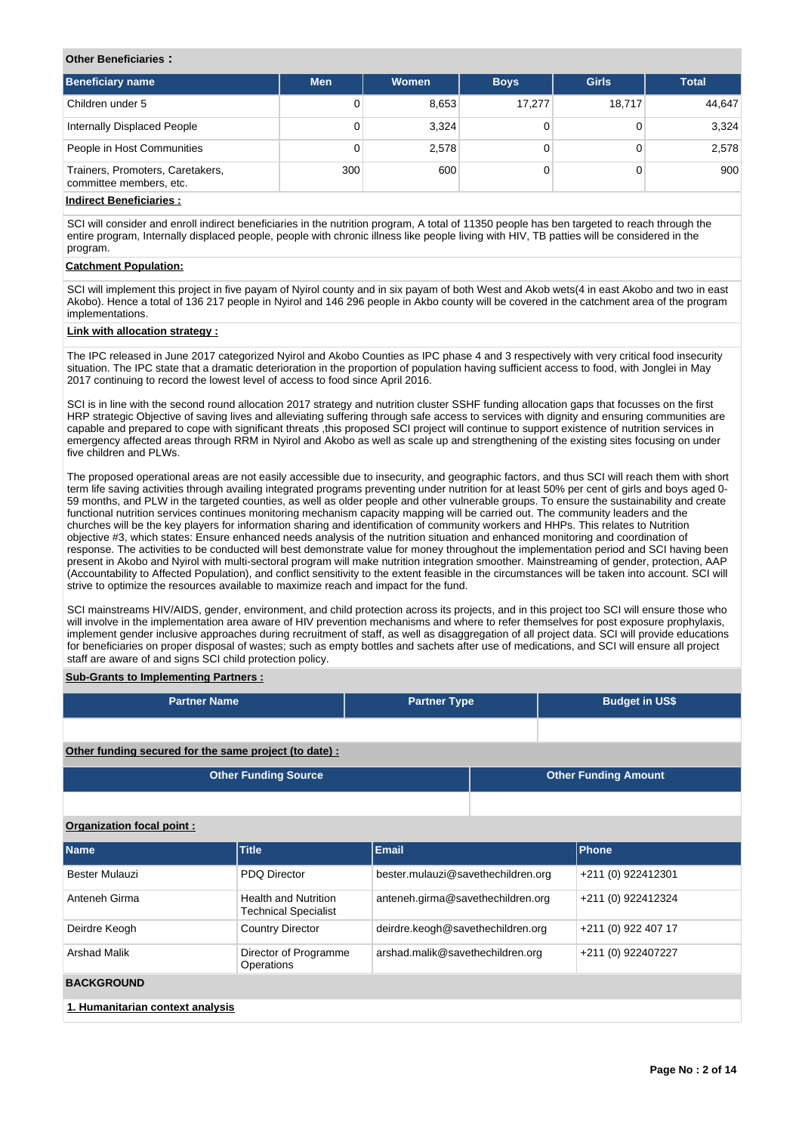#### **Other Beneficiaries :**

| Beneficiary name                                                                                                | <b>Men</b> | Women | <b>Boys</b> | <b>Girls</b> | <b>Total</b> |
|-----------------------------------------------------------------------------------------------------------------|------------|-------|-------------|--------------|--------------|
| Children under 5                                                                                                | 0          | 8,653 | 17.277      | 18.717       | 44.647       |
| Internally Displaced People                                                                                     | 0          | 3,324 |             |              | 3,324        |
| People in Host Communities                                                                                      | 0          | 2,578 |             |              | 2,578        |
| Trainers, Promoters, Caretakers,<br>committee members, etc.                                                     | 300        | 600   |             |              | 900          |
| lista al final del 1990 de la Chiestra de la constitución de la constitución de la constitución de la constituc |            |       |             |              |              |

## **Indirect Beneficiaries :**

SCI will consider and enroll indirect beneficiaries in the nutrition program, A total of 11350 people has ben targeted to reach through the entire program, Internally displaced people, people with chronic illness like people living with HIV, TB patties will be considered in the program.

# **Catchment Population:**

SCI will implement this project in five payam of Nyirol county and in six payam of both West and Akob wets(4 in east Akobo and two in east Akobo). Hence a total of 136 217 people in Nyirol and 146 296 people in Akbo county will be covered in the catchment area of the program implementations.

# **Link with allocation strategy :**

The IPC released in June 2017 categorized Nyirol and Akobo Counties as IPC phase 4 and 3 respectively with very critical food insecurity situation. The IPC state that a dramatic deterioration in the proportion of population having sufficient access to food, with Jonglei in May 2017 continuing to record the lowest level of access to food since April 2016.

SCI is in line with the second round allocation 2017 strategy and nutrition cluster SSHF funding allocation gaps that focusses on the first HRP strategic Objective of saving lives and alleviating suffering through safe access to services with dignity and ensuring communities are capable and prepared to cope with significant threats ,this proposed SCI project will continue to support existence of nutrition services in emergency affected areas through RRM in Nyirol and Akobo as well as scale up and strengthening of the existing sites focusing on under five children and PLWs.

The proposed operational areas are not easily accessible due to insecurity, and geographic factors, and thus SCI will reach them with short term life saving activities through availing integrated programs preventing under nutrition for at least 50% per cent of girls and boys aged 0- 59 months, and PLW in the targeted counties, as well as older people and other vulnerable groups. To ensure the sustainability and create functional nutrition services continues monitoring mechanism capacity mapping will be carried out. The community leaders and the churches will be the key players for information sharing and identification of community workers and HHPs. This relates to Nutrition objective #3, which states: Ensure enhanced needs analysis of the nutrition situation and enhanced monitoring and coordination of response. The activities to be conducted will best demonstrate value for money throughout the implementation period and SCI having been present in Akobo and Nyirol with multi-sectoral program will make nutrition integration smoother. Mainstreaming of gender, protection, AAP (Accountability to Affected Population), and conflict sensitivity to the extent feasible in the circumstances will be taken into account. SCI will strive to optimize the resources available to maximize reach and impact for the fund.

SCI mainstreams HIV/AIDS, gender, environment, and child protection across its projects, and in this project too SCI will ensure those who will involve in the implementation area aware of HIV prevention mechanisms and where to refer themselves for post exposure prophylaxis, implement gender inclusive approaches during recruitment of staff, as well as disaggregation of all project data. SCI will provide educations for beneficiaries on proper disposal of wastes; such as empty bottles and sachets after use of medications, and SCI will ensure all project staff are aware of and signs SCI child protection policy.

## **Sub-Grants to Implementing Partners :**

| <b>Partner Name</b>                                   | <b>Partner Type</b> |  | <b>Budget in US\$</b>       |
|-------------------------------------------------------|---------------------|--|-----------------------------|
|                                                       |                     |  |                             |
| Other funding secured for the same project (to date): |                     |  |                             |
| <b>Other Funding Source</b>                           |                     |  | <b>Other Funding Amount</b> |
|                                                       |                     |  |                             |

#### **Organization focal point :**

| <b>Name</b>                      | <b>Title</b>                                               | <b>Email</b>                       | Phone               |
|----------------------------------|------------------------------------------------------------|------------------------------------|---------------------|
| Bester Mulauzi                   | <b>PDQ Director</b>                                        | bester.mulauzi@savethechildren.org | +211 (0) 922412301  |
| Anteneh Girma                    | <b>Health and Nutrition</b><br><b>Technical Specialist</b> | anteneh.girma@savethechildren.org  | +211 (0) 922412324  |
| Deirdre Keogh                    | <b>Country Director</b>                                    | deirdre.keogh@savethechildren.org  | +211 (0) 922 407 17 |
| <b>Arshad Malik</b>              | Director of Programme<br><b>Operations</b>                 | arshad.malik@savethechildren.org   | +211 (0) 922407227  |
| <b>BACKGROUND</b>                |                                                            |                                    |                     |
| 1. Humanitarian context analysis |                                                            |                                    |                     |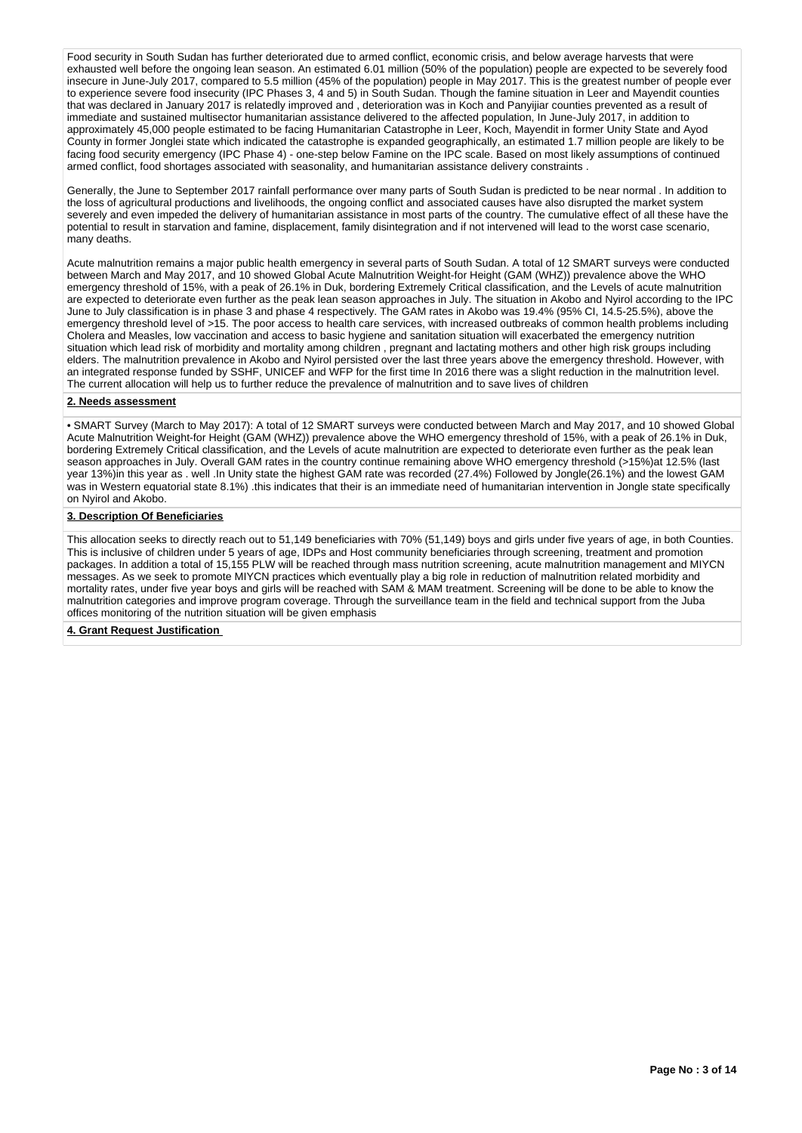Food security in South Sudan has further deteriorated due to armed conflict, economic crisis, and below average harvests that were exhausted well before the ongoing lean season. An estimated 6.01 million (50% of the population) people are expected to be severely food insecure in June-July 2017, compared to 5.5 million (45% of the population) people in May 2017. This is the greatest number of people ever to experience severe food insecurity (IPC Phases 3, 4 and 5) in South Sudan. Though the famine situation in Leer and Mayendit counties that was declared in January 2017 is relatedly improved and , deterioration was in Koch and Panyijiar counties prevented as a result of immediate and sustained multisector humanitarian assistance delivered to the affected population, In June-July 2017, in addition to approximately 45,000 people estimated to be facing Humanitarian Catastrophe in Leer, Koch, Mayendit in former Unity State and Ayod County in former Jonglei state which indicated the catastrophe is expanded geographically, an estimated 1.7 million people are likely to be facing food security emergency (IPC Phase 4) - one-step below Famine on the IPC scale. Based on most likely assumptions of continued armed conflict, food shortages associated with seasonality, and humanitarian assistance delivery constraints .

Generally, the June to September 2017 rainfall performance over many parts of South Sudan is predicted to be near normal . In addition to the loss of agricultural productions and livelihoods, the ongoing conflict and associated causes have also disrupted the market system severely and even impeded the delivery of humanitarian assistance in most parts of the country. The cumulative effect of all these have the potential to result in starvation and famine, displacement, family disintegration and if not intervened will lead to the worst case scenario, many deaths.

Acute malnutrition remains a major public health emergency in several parts of South Sudan. A total of 12 SMART surveys were conducted between March and May 2017, and 10 showed Global Acute Malnutrition Weight-for Height (GAM (WHZ)) prevalence above the WHO emergency threshold of 15%, with a peak of 26.1% in Duk, bordering Extremely Critical classification, and the Levels of acute malnutrition are expected to deteriorate even further as the peak lean season approaches in July. The situation in Akobo and Nyirol according to the IPC June to July classification is in phase 3 and phase 4 respectively. The GAM rates in Akobo was 19.4% (95% CI, 14.5-25.5%), above the emergency threshold level of >15. The poor access to health care services, with increased outbreaks of common health problems including Cholera and Measles, low vaccination and access to basic hygiene and sanitation situation will exacerbated the emergency nutrition situation which lead risk of morbidity and mortality among children , pregnant and lactating mothers and other high risk groups including elders. The malnutrition prevalence in Akobo and Nyirol persisted over the last three years above the emergency threshold. However, with an integrated response funded by SSHF, UNICEF and WFP for the first time In 2016 there was a slight reduction in the malnutrition level. The current allocation will help us to further reduce the prevalence of malnutrition and to save lives of children

# **2. Needs assessment**

• SMART Survey (March to May 2017): A total of 12 SMART surveys were conducted between March and May 2017, and 10 showed Global Acute Malnutrition Weight-for Height (GAM (WHZ)) prevalence above the WHO emergency threshold of 15%, with a peak of 26.1% in Duk, bordering Extremely Critical classification, and the Levels of acute malnutrition are expected to deteriorate even further as the peak lean season approaches in July. Overall GAM rates in the country continue remaining above WHO emergency threshold (>15%)at 12.5% (last year 13%)in this year as . well .In Unity state the highest GAM rate was recorded (27.4%) Followed by Jongle(26.1%) and the lowest GAM was in Western equatorial state 8.1%) .this indicates that their is an immediate need of humanitarian intervention in Jongle state specifically on Nyirol and Akobo.

#### **3. Description Of Beneficiaries**

This allocation seeks to directly reach out to 51,149 beneficiaries with 70% (51,149) boys and girls under five years of age, in both Counties. This is inclusive of children under 5 years of age, IDPs and Host community beneficiaries through screening, treatment and promotion packages. In addition a total of 15,155 PLW will be reached through mass nutrition screening, acute malnutrition management and MIYCN messages. As we seek to promote MIYCN practices which eventually play a big role in reduction of malnutrition related morbidity and mortality rates, under five year boys and girls will be reached with SAM & MAM treatment. Screening will be done to be able to know the malnutrition categories and improve program coverage. Through the surveillance team in the field and technical support from the Juba offices monitoring of the nutrition situation will be given emphasis

**4. Grant Request Justification**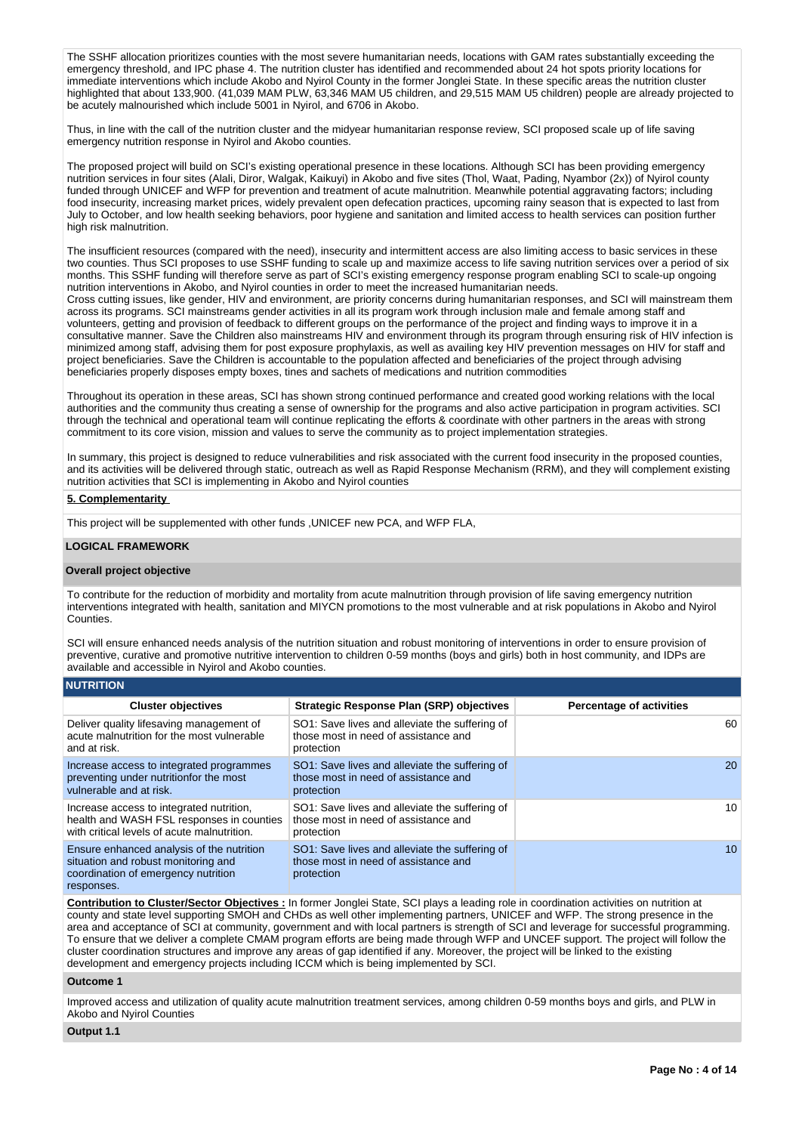The SSHF allocation prioritizes counties with the most severe humanitarian needs, locations with GAM rates substantially exceeding the emergency threshold, and IPC phase 4. The nutrition cluster has identified and recommended about 24 hot spots priority locations for immediate interventions which include Akobo and Nyirol County in the former Jonglei State. In these specific areas the nutrition cluster highlighted that about 133,900. (41,039 MAM PLW, 63,346 MAM U5 children, and 29,515 MAM U5 children) people are already projected to be acutely malnourished which include 5001 in Nyirol, and 6706 in Akobo.

Thus, in line with the call of the nutrition cluster and the midyear humanitarian response review, SCI proposed scale up of life saving emergency nutrition response in Nyirol and Akobo counties.

The proposed project will build on SCI's existing operational presence in these locations. Although SCI has been providing emergency nutrition services in four sites (Alali, Diror, Walgak, Kaikuyi) in Akobo and five sites (Thol, Waat, Pading, Nyambor (2x)) of Nyirol county funded through UNICEF and WFP for prevention and treatment of acute malnutrition. Meanwhile potential aggravating factors; including food insecurity, increasing market prices, widely prevalent open defecation practices, upcoming rainy season that is expected to last from July to October, and low health seeking behaviors, poor hygiene and sanitation and limited access to health services can position further high risk malnutrition.

The insufficient resources (compared with the need), insecurity and intermittent access are also limiting access to basic services in these two counties. Thus SCI proposes to use SSHF funding to scale up and maximize access to life saving nutrition services over a period of six months. This SSHF funding will therefore serve as part of SCI's existing emergency response program enabling SCI to scale-up ongoing nutrition interventions in Akobo, and Nyirol counties in order to meet the increased humanitarian needs.

Cross cutting issues, like gender, HIV and environment, are priority concerns during humanitarian responses, and SCI will mainstream them across its programs. SCI mainstreams gender activities in all its program work through inclusion male and female among staff and volunteers, getting and provision of feedback to different groups on the performance of the project and finding ways to improve it in a consultative manner. Save the Children also mainstreams HIV and environment through its program through ensuring risk of HIV infection is minimized among staff, advising them for post exposure prophylaxis, as well as availing key HIV prevention messages on HIV for staff and project beneficiaries. Save the Children is accountable to the population affected and beneficiaries of the project through advising beneficiaries properly disposes empty boxes, tines and sachets of medications and nutrition commodities

Throughout its operation in these areas, SCI has shown strong continued performance and created good working relations with the local authorities and the community thus creating a sense of ownership for the programs and also active participation in program activities. SCI through the technical and operational team will continue replicating the efforts & coordinate with other partners in the areas with strong commitment to its core vision, mission and values to serve the community as to project implementation strategies.

In summary, this project is designed to reduce vulnerabilities and risk associated with the current food insecurity in the proposed counties, and its activities will be delivered through static, outreach as well as Rapid Response Mechanism (RRM), and they will complement existing nutrition activities that SCI is implementing in Akobo and Nyirol counties

# **5. Complementarity**

This project will be supplemented with other funds ,UNICEF new PCA, and WFP FLA,

## **LOGICAL FRAMEWORK**

## **Overall project objective**

**NUTRITION**

To contribute for the reduction of morbidity and mortality from acute malnutrition through provision of life saving emergency nutrition interventions integrated with health, sanitation and MIYCN promotions to the most vulnerable and at risk populations in Akobo and Nyirol Counties.

SCI will ensure enhanced needs analysis of the nutrition situation and robust monitoring of interventions in order to ensure provision of preventive, curative and promotive nutritive intervention to children 0-59 months (boys and girls) both in host community, and IDPs are available and accessible in Nyirol and Akobo counties.

| וועו ווח טאו                                                                                                                          |                                                                                                      |                                 |
|---------------------------------------------------------------------------------------------------------------------------------------|------------------------------------------------------------------------------------------------------|---------------------------------|
| <b>Cluster objectives</b>                                                                                                             | <b>Strategic Response Plan (SRP) objectives</b>                                                      | <b>Percentage of activities</b> |
| Deliver quality lifesaving management of<br>acute malnutrition for the most vulnerable<br>and at risk.                                | SO1: Save lives and alleviate the suffering of<br>those most in need of assistance and<br>protection | 60                              |
| Increase access to integrated programmes<br>preventing under nutritionfor the most<br>vulnerable and at risk.                         | SO1: Save lives and alleviate the suffering of<br>those most in need of assistance and<br>protection | 20                              |
| Increase access to integrated nutrition,<br>health and WASH FSL responses in counties<br>with critical levels of acute malnutrition.  | SO1: Save lives and alleviate the suffering of<br>those most in need of assistance and<br>protection | 10                              |
| Ensure enhanced analysis of the nutrition<br>situation and robust monitoring and<br>coordination of emergency nutrition<br>responses. | SO1: Save lives and alleviate the suffering of<br>those most in need of assistance and<br>protection | 10 <sup>1</sup>                 |

**Contribution to Cluster/Sector Objectives :** In former Jonglei State, SCI plays a leading role in coordination activities on nutrition at county and state level supporting SMOH and CHDs as well other implementing partners, UNICEF and WFP. The strong presence in the area and acceptance of SCI at community, government and with local partners is strength of SCI and leverage for successful programming. To ensure that we deliver a complete CMAM program efforts are being made through WFP and UNCEF support. The project will follow the cluster coordination structures and improve any areas of gap identified if any. Moreover, the project will be linked to the existing development and emergency projects including ICCM which is being implemented by SCI.

## **Outcome 1**

Improved access and utilization of quality acute malnutrition treatment services, among children 0-59 months boys and girls, and PLW in Akobo and Nyirol Counties

## **Output 1.1**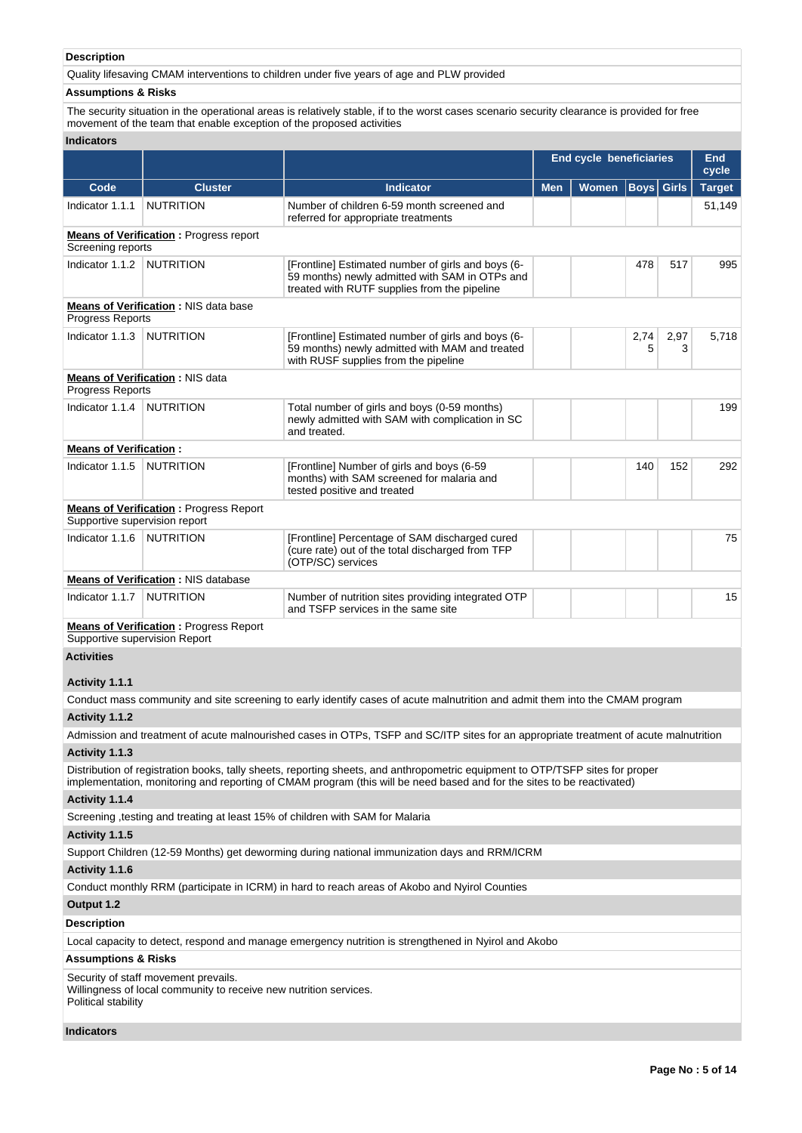# **Description**

Quality lifesaving CMAM interventions to children under five years of age and PLW provided

# **Assumptions & Risks**

The security situation in the operational areas is relatively stable, if to the worst cases scenario security clearance is provided for free movement of the team that enable exception of the proposed activities

# **Indicators**

|                                |                                                                                                           |                                                                                                                                                                                                                                                         | <b>End cycle beneficiaries</b><br>End<br>cycle |  |                   |           |               |  |
|--------------------------------|-----------------------------------------------------------------------------------------------------------|---------------------------------------------------------------------------------------------------------------------------------------------------------------------------------------------------------------------------------------------------------|------------------------------------------------|--|-------------------|-----------|---------------|--|
| Code                           | <b>Cluster</b>                                                                                            | <b>Indicator</b>                                                                                                                                                                                                                                        | <b>Men</b><br>Women                            |  | <b>Boys</b> Girls |           | <b>Target</b> |  |
| Indicator 1.1.1                | <b>NUTRITION</b>                                                                                          | Number of children 6-59 month screened and<br>referred for appropriate treatments                                                                                                                                                                       |                                                |  |                   |           | 51,149        |  |
| Screening reports              | <b>Means of Verification:</b> Progress report                                                             |                                                                                                                                                                                                                                                         |                                                |  |                   |           |               |  |
| Indicator 1.1.2                | <b>NUTRITION</b>                                                                                          | [Frontline] Estimated number of girls and boys (6-<br>59 months) newly admitted with SAM in OTPs and<br>treated with RUTF supplies from the pipeline                                                                                                    |                                                |  | 478               | 517       | 995           |  |
| Progress Reports               | <b>Means of Verification: NIS data base</b>                                                               |                                                                                                                                                                                                                                                         |                                                |  |                   |           |               |  |
| Indicator 1.1.3                | <b>NUTRITION</b>                                                                                          | [Frontline] Estimated number of girls and boys (6-<br>59 months) newly admitted with MAM and treated<br>with RUSF supplies from the pipeline                                                                                                            |                                                |  | 2,74<br>5         | 2,97<br>3 | 5,718         |  |
| Progress Reports               | <b>Means of Verification: NIS data</b>                                                                    |                                                                                                                                                                                                                                                         |                                                |  |                   |           |               |  |
| Indicator 1.1.4                | <b>NUTRITION</b>                                                                                          | Total number of girls and boys (0-59 months)<br>newly admitted with SAM with complication in SC<br>and treated.                                                                                                                                         |                                                |  |                   |           | 199           |  |
| <b>Means of Verification:</b>  |                                                                                                           |                                                                                                                                                                                                                                                         |                                                |  |                   |           |               |  |
| Indicator 1.1.5                | <b>NUTRITION</b>                                                                                          | [Frontline] Number of girls and boys (6-59<br>months) with SAM screened for malaria and<br>tested positive and treated                                                                                                                                  |                                                |  | 140               | 152       | 292           |  |
| Supportive supervision report  | <b>Means of Verification: Progress Report</b>                                                             |                                                                                                                                                                                                                                                         |                                                |  |                   |           |               |  |
| Indicator 1.1.6                | <b>NUTRITION</b>                                                                                          | [Frontline] Percentage of SAM discharged cured<br>(cure rate) out of the total discharged from TFP<br>(OTP/SC) services                                                                                                                                 |                                                |  |                   |           | 75            |  |
|                                | <b>Means of Verification: NIS database</b>                                                                |                                                                                                                                                                                                                                                         |                                                |  |                   |           |               |  |
| Indicator 1.1.7                | NUTRITION                                                                                                 | Number of nutrition sites providing integrated OTP<br>and TSFP services in the same site                                                                                                                                                                |                                                |  |                   |           | 15            |  |
| Supportive supervision Report  | <b>Means of Verification: Progress Report</b>                                                             |                                                                                                                                                                                                                                                         |                                                |  |                   |           |               |  |
| <b>Activities</b>              |                                                                                                           |                                                                                                                                                                                                                                                         |                                                |  |                   |           |               |  |
| Activity 1.1.1                 |                                                                                                           |                                                                                                                                                                                                                                                         |                                                |  |                   |           |               |  |
|                                |                                                                                                           | Conduct mass community and site screening to early identify cases of acute malnutrition and admit them into the CMAM program                                                                                                                            |                                                |  |                   |           |               |  |
| Activity 1.1.2                 |                                                                                                           |                                                                                                                                                                                                                                                         |                                                |  |                   |           |               |  |
|                                |                                                                                                           | Admission and treatment of acute malnourished cases in OTPs, TSFP and SC/ITP sites for an appropriate treatment of acute malnutrition                                                                                                                   |                                                |  |                   |           |               |  |
| Activity 1.1.3                 |                                                                                                           |                                                                                                                                                                                                                                                         |                                                |  |                   |           |               |  |
|                                |                                                                                                           | Distribution of registration books, tally sheets, reporting sheets, and anthropometric equipment to OTP/TSFP sites for proper<br>implementation, monitoring and reporting of CMAM program (this will be need based and for the sites to be reactivated) |                                                |  |                   |           |               |  |
| Activity 1.1.4                 |                                                                                                           |                                                                                                                                                                                                                                                         |                                                |  |                   |           |               |  |
|                                |                                                                                                           | Screening , testing and treating at least 15% of children with SAM for Malaria                                                                                                                                                                          |                                                |  |                   |           |               |  |
| Activity 1.1.5                 |                                                                                                           |                                                                                                                                                                                                                                                         |                                                |  |                   |           |               |  |
|                                |                                                                                                           | Support Children (12-59 Months) get deworming during national immunization days and RRM/ICRM                                                                                                                                                            |                                                |  |                   |           |               |  |
| Activity 1.1.6                 |                                                                                                           |                                                                                                                                                                                                                                                         |                                                |  |                   |           |               |  |
|                                |                                                                                                           | Conduct monthly RRM (participate in ICRM) in hard to reach areas of Akobo and Nyirol Counties                                                                                                                                                           |                                                |  |                   |           |               |  |
| Output 1.2                     |                                                                                                           |                                                                                                                                                                                                                                                         |                                                |  |                   |           |               |  |
| <b>Description</b>             |                                                                                                           |                                                                                                                                                                                                                                                         |                                                |  |                   |           |               |  |
|                                |                                                                                                           | Local capacity to detect, respond and manage emergency nutrition is strengthened in Nyirol and Akobo                                                                                                                                                    |                                                |  |                   |           |               |  |
| <b>Assumptions &amp; Risks</b> |                                                                                                           |                                                                                                                                                                                                                                                         |                                                |  |                   |           |               |  |
| Political stability            | Security of staff movement prevails.<br>Willingness of local community to receive new nutrition services. |                                                                                                                                                                                                                                                         |                                                |  |                   |           |               |  |

# **Indicators**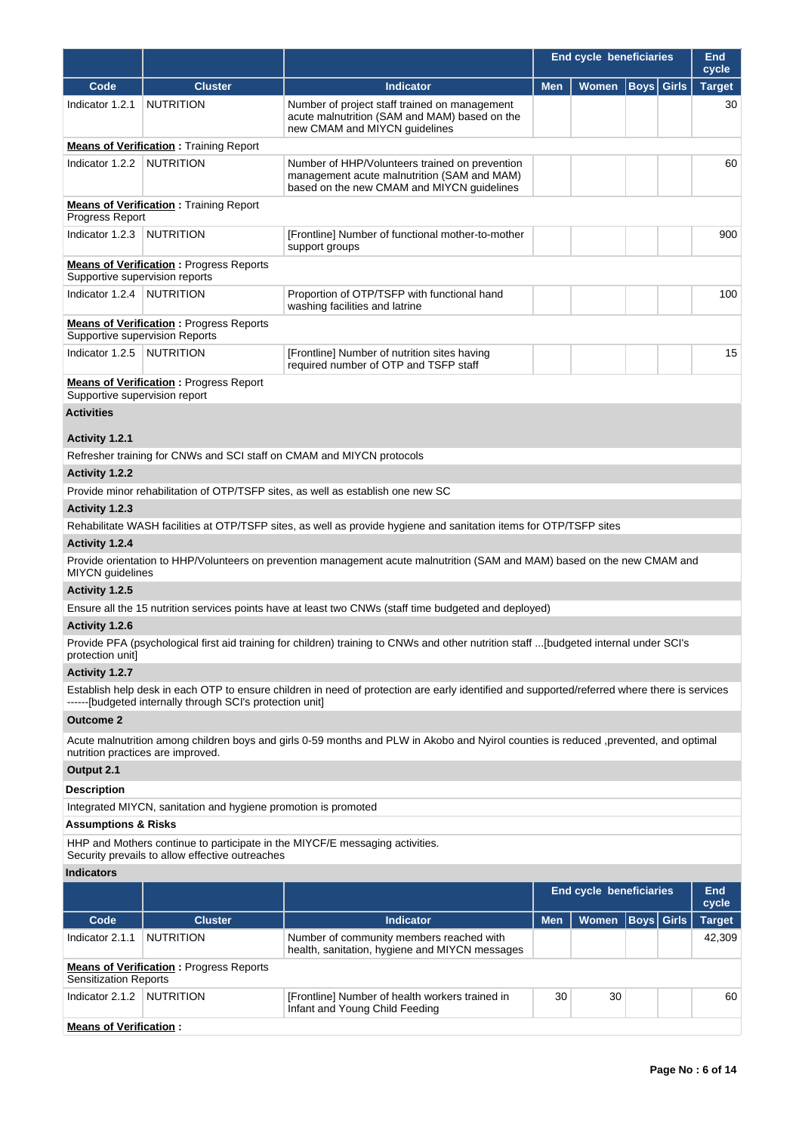|                                |                                                                |                                                                                                                                              |            | <b>End cycle beneficiaries</b> |                   |              |                        |  |  |
|--------------------------------|----------------------------------------------------------------|----------------------------------------------------------------------------------------------------------------------------------------------|------------|--------------------------------|-------------------|--------------|------------------------|--|--|
| Code                           | <b>Cluster</b>                                                 | <b>Indicator</b>                                                                                                                             | <b>Men</b> | Women                          | <b>Boys</b>       | <b>Girls</b> | cycle<br><b>Target</b> |  |  |
| Indicator 1.2.1                | <b>NUTRITION</b>                                               | Number of project staff trained on management<br>acute malnutrition (SAM and MAM) based on the<br>new CMAM and MIYCN quidelines              |            |                                |                   |              | 30                     |  |  |
|                                | <b>Means of Verification: Training Report</b>                  |                                                                                                                                              |            |                                |                   |              |                        |  |  |
| Indicator 1.2.2                | <b>NUTRITION</b>                                               | Number of HHP/Volunteers trained on prevention<br>management acute malnutrition (SAM and MAM)<br>based on the new CMAM and MIYCN guidelines  |            |                                |                   |              | 60                     |  |  |
| Progress Report                | <b>Means of Verification:</b> Training Report                  |                                                                                                                                              |            |                                |                   |              |                        |  |  |
| Indicator 1.2.3                | <b>NUTRITION</b>                                               | [Frontline] Number of functional mother-to-mother<br>support groups                                                                          |            |                                |                   |              | 900                    |  |  |
| Supportive supervision reports | <b>Means of Verification:</b> Progress Reports                 |                                                                                                                                              |            |                                |                   |              |                        |  |  |
| Indicator 1.2.4                | NUTRITION                                                      | Proportion of OTP/TSFP with functional hand<br>washing facilities and latrine                                                                |            |                                |                   |              | 100                    |  |  |
| Supportive supervision Reports | <b>Means of Verification: Progress Reports</b>                 |                                                                                                                                              |            |                                |                   |              |                        |  |  |
| Indicator 1.2.5                | <b>NUTRITION</b>                                               | [Frontline] Number of nutrition sites having<br>required number of OTP and TSFP staff                                                        |            |                                |                   |              | 15                     |  |  |
| Supportive supervision report  | <b>Means of Verification: Progress Report</b>                  |                                                                                                                                              |            |                                |                   |              |                        |  |  |
| <b>Activities</b>              |                                                                |                                                                                                                                              |            |                                |                   |              |                        |  |  |
| Activity 1.2.1                 |                                                                |                                                                                                                                              |            |                                |                   |              |                        |  |  |
|                                |                                                                | Refresher training for CNWs and SCI staff on CMAM and MIYCN protocols                                                                        |            |                                |                   |              |                        |  |  |
| Activity 1.2.2                 |                                                                |                                                                                                                                              |            |                                |                   |              |                        |  |  |
|                                |                                                                | Provide minor rehabilitation of OTP/TSFP sites, as well as establish one new SC                                                              |            |                                |                   |              |                        |  |  |
| Activity 1.2.3                 |                                                                |                                                                                                                                              |            |                                |                   |              |                        |  |  |
|                                |                                                                | Rehabilitate WASH facilities at OTP/TSFP sites, as well as provide hygiene and sanitation items for OTP/TSFP sites                           |            |                                |                   |              |                        |  |  |
| Activity 1.2.4                 |                                                                |                                                                                                                                              |            |                                |                   |              |                        |  |  |
| <b>MIYCN</b> guidelines        |                                                                | Provide orientation to HHP/Volunteers on prevention management acute malnutrition (SAM and MAM) based on the new CMAM and                    |            |                                |                   |              |                        |  |  |
| Activity 1.2.5                 |                                                                |                                                                                                                                              |            |                                |                   |              |                        |  |  |
|                                |                                                                | Ensure all the 15 nutrition services points have at least two CNWs (staff time budgeted and deployed)                                        |            |                                |                   |              |                        |  |  |
| Activity 1.2.6                 |                                                                |                                                                                                                                              |            |                                |                   |              |                        |  |  |
| protection unit]               |                                                                | Provide PFA (psychological first aid training for children) training to CNWs and other nutrition staff [budgeted internal under SCI's        |            |                                |                   |              |                        |  |  |
| Activity 1.2.7                 |                                                                |                                                                                                                                              |            |                                |                   |              |                        |  |  |
|                                | ------[budgeted internally through SCI's protection unit]      | Establish help desk in each OTP to ensure children in need of protection are early identified and supported/referred where there is services |            |                                |                   |              |                        |  |  |
| <b>Outcome 2</b>               |                                                                |                                                                                                                                              |            |                                |                   |              |                        |  |  |
|                                | nutrition practices are improved.                              | Acute malnutrition among children boys and girls 0-59 months and PLW in Akobo and Nyirol counties is reduced ,prevented, and optimal         |            |                                |                   |              |                        |  |  |
| Output 2.1                     |                                                                |                                                                                                                                              |            |                                |                   |              |                        |  |  |
| <b>Description</b>             |                                                                |                                                                                                                                              |            |                                |                   |              |                        |  |  |
|                                | Integrated MIYCN, sanitation and hygiene promotion is promoted |                                                                                                                                              |            |                                |                   |              |                        |  |  |
| <b>Assumptions &amp; Risks</b> |                                                                |                                                                                                                                              |            |                                |                   |              |                        |  |  |
|                                | Security prevails to allow effective outreaches                | HHP and Mothers continue to participate in the MIYCF/E messaging activities.                                                                 |            |                                |                   |              |                        |  |  |
| <b>Indicators</b>              |                                                                |                                                                                                                                              |            |                                |                   |              |                        |  |  |
|                                |                                                                |                                                                                                                                              |            | <b>End cycle beneficiaries</b> |                   |              | <b>End</b><br>cycle    |  |  |
| Code                           | <b>Cluster</b>                                                 | <b>Indicator</b>                                                                                                                             | <b>Men</b> | <b>Women</b>                   | <b>Boys</b> Girls |              | <b>Target</b>          |  |  |
| Indicator 2.1.1                | <b>NUTRITION</b>                                               | Number of community members reached with<br>health, sanitation, hygiene and MIYCN messages                                                   |            |                                |                   |              | 42,309                 |  |  |
| <b>Sensitization Reports</b>   | <b>Means of Verification:</b> Progress Reports                 |                                                                                                                                              |            |                                |                   |              |                        |  |  |
| Indicator 2.1.2                | <b>NUTRITION</b>                                               | [Frontline] Number of health workers trained in<br>Infant and Young Child Feeding                                                            | 30         | 30                             |                   |              | 60                     |  |  |

Infant and Young Child Feeding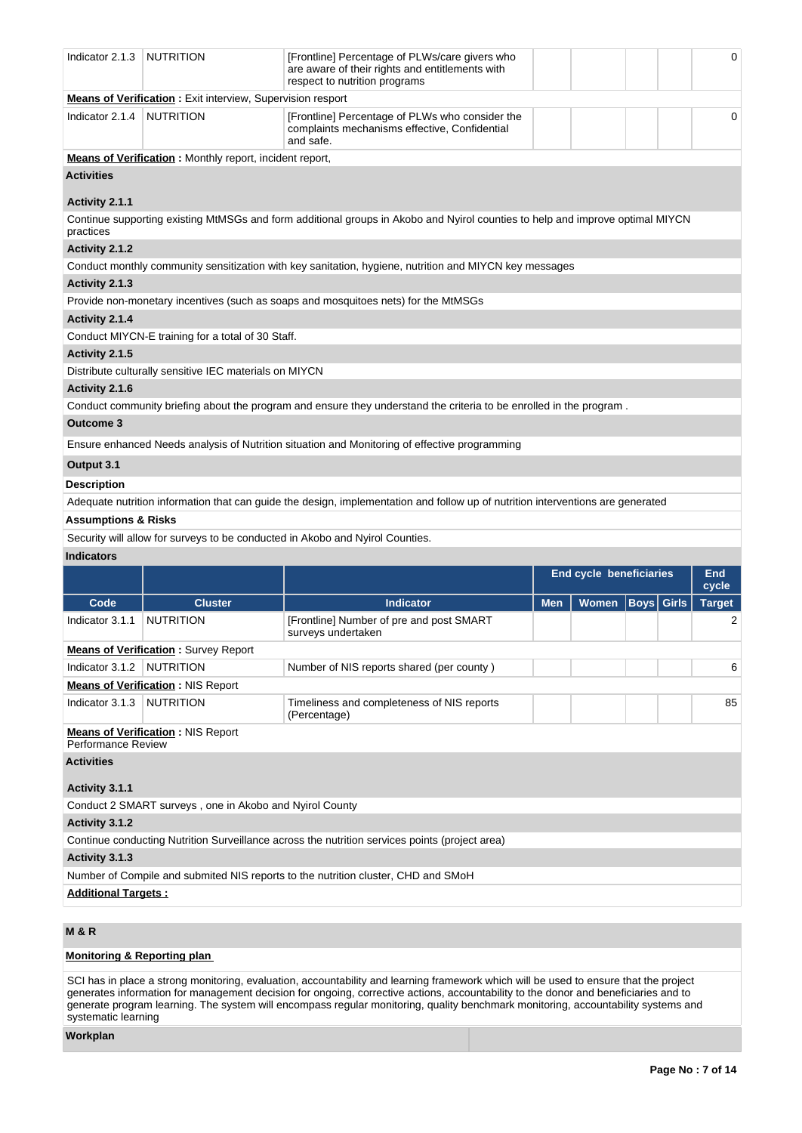| Indicator 2.1.3                | <b>NUTRITION</b>                                                  | [Frontline] Percentage of PLWs/care givers who<br>are aware of their rights and entitlements with<br>respect to nutrition programs |     |                         |                   | 0                   |
|--------------------------------|-------------------------------------------------------------------|------------------------------------------------------------------------------------------------------------------------------------|-----|-------------------------|-------------------|---------------------|
|                                | <b>Means of Verification:</b> Exit interview, Supervision resport |                                                                                                                                    |     |                         |                   |                     |
| Indicator 2.1.4                | <b>NUTRITION</b>                                                  | [Frontline] Percentage of PLWs who consider the<br>complaints mechanisms effective, Confidential<br>and safe.                      |     |                         |                   | 0                   |
|                                | <b>Means of Verification:</b> Monthly report, incident report,    |                                                                                                                                    |     |                         |                   |                     |
| <b>Activities</b>              |                                                                   |                                                                                                                                    |     |                         |                   |                     |
| Activity 2.1.1                 |                                                                   |                                                                                                                                    |     |                         |                   |                     |
| practices                      |                                                                   | Continue supporting existing MtMSGs and form additional groups in Akobo and Nyirol counties to help and improve optimal MIYCN      |     |                         |                   |                     |
| Activity 2.1.2                 |                                                                   |                                                                                                                                    |     |                         |                   |                     |
| Activity 2.1.3                 |                                                                   | Conduct monthly community sensitization with key sanitation, hygiene, nutrition and MIYCN key messages                             |     |                         |                   |                     |
|                                |                                                                   | Provide non-monetary incentives (such as soaps and mosquitoes nets) for the MtMSGs                                                 |     |                         |                   |                     |
| Activity 2.1.4                 |                                                                   |                                                                                                                                    |     |                         |                   |                     |
|                                | Conduct MIYCN-E training for a total of 30 Staff.                 |                                                                                                                                    |     |                         |                   |                     |
| Activity 2.1.5                 |                                                                   |                                                                                                                                    |     |                         |                   |                     |
|                                | Distribute culturally sensitive IEC materials on MIYCN            |                                                                                                                                    |     |                         |                   |                     |
| Activity 2.1.6                 |                                                                   |                                                                                                                                    |     |                         |                   |                     |
|                                |                                                                   | Conduct community briefing about the program and ensure they understand the criteria to be enrolled in the program.                |     |                         |                   |                     |
| Outcome 3                      |                                                                   |                                                                                                                                    |     |                         |                   |                     |
|                                |                                                                   | Ensure enhanced Needs analysis of Nutrition situation and Monitoring of effective programming                                      |     |                         |                   |                     |
| Output 3.1                     |                                                                   |                                                                                                                                    |     |                         |                   |                     |
| <b>Description</b>             |                                                                   |                                                                                                                                    |     |                         |                   |                     |
|                                |                                                                   |                                                                                                                                    |     |                         |                   |                     |
|                                |                                                                   | Adequate nutrition information that can guide the design, implementation and follow up of nutrition interventions are generated    |     |                         |                   |                     |
| <b>Assumptions &amp; Risks</b> |                                                                   |                                                                                                                                    |     |                         |                   |                     |
|                                |                                                                   | Security will allow for surveys to be conducted in Akobo and Nyirol Counties.                                                      |     |                         |                   |                     |
| <b>Indicators</b>              |                                                                   |                                                                                                                                    |     |                         |                   |                     |
|                                |                                                                   |                                                                                                                                    |     | End cycle beneficiaries |                   | <b>End</b><br>cycle |
| Code                           | <b>Cluster</b>                                                    | <b>Indicator</b>                                                                                                                   | Men | Women                   | <b>Boys Girls</b> | <b>Target</b>       |
| Indicator 3.1.1                | <b>NUTRITION</b>                                                  | [Frontline] Number of pre and post SMART<br>surveys undertaken                                                                     |     |                         |                   | 2                   |
|                                | <b>Means of Verification: Survey Report</b>                       |                                                                                                                                    |     |                         |                   |                     |
| Indicator 3.1.2   NUTRITION    |                                                                   | Number of NIS reports shared (per county)                                                                                          |     |                         |                   | 6                   |
|                                | <b>Means of Verification: NIS Report</b>                          |                                                                                                                                    |     |                         |                   |                     |
| Indicator 3.1.3                | NUTRITION                                                         | Timeliness and completeness of NIS reports<br>(Percentage)                                                                         |     |                         |                   | 85                  |
| <b>Performance Review</b>      | <b>Means of Verification: NIS Report</b>                          |                                                                                                                                    |     |                         |                   |                     |
| <b>Activities</b>              |                                                                   |                                                                                                                                    |     |                         |                   |                     |
| Activity 3.1.1                 |                                                                   |                                                                                                                                    |     |                         |                   |                     |
|                                | Conduct 2 SMART surveys, one in Akobo and Nyirol County           |                                                                                                                                    |     |                         |                   |                     |
| Activity 3.1.2                 |                                                                   |                                                                                                                                    |     |                         |                   |                     |
|                                |                                                                   | Continue conducting Nutrition Surveillance across the nutrition services points (project area)                                     |     |                         |                   |                     |
| Activity 3.1.3                 |                                                                   |                                                                                                                                    |     |                         |                   |                     |
|                                |                                                                   | Number of Compile and submited NIS reports to the nutrition cluster, CHD and SMoH                                                  |     |                         |                   |                     |
| <b>Additional Targets:</b>     |                                                                   |                                                                                                                                    |     |                         |                   |                     |

# **M & R**

# **Monitoring & Reporting plan**

SCI has in place a strong monitoring, evaluation, accountability and learning framework which will be used to ensure that the project generates information for management decision for ongoing, corrective actions, accountability to the donor and beneficiaries and to generate program learning. The system will encompass regular monitoring, quality benchmark monitoring, accountability systems and systematic learning

**Workplan**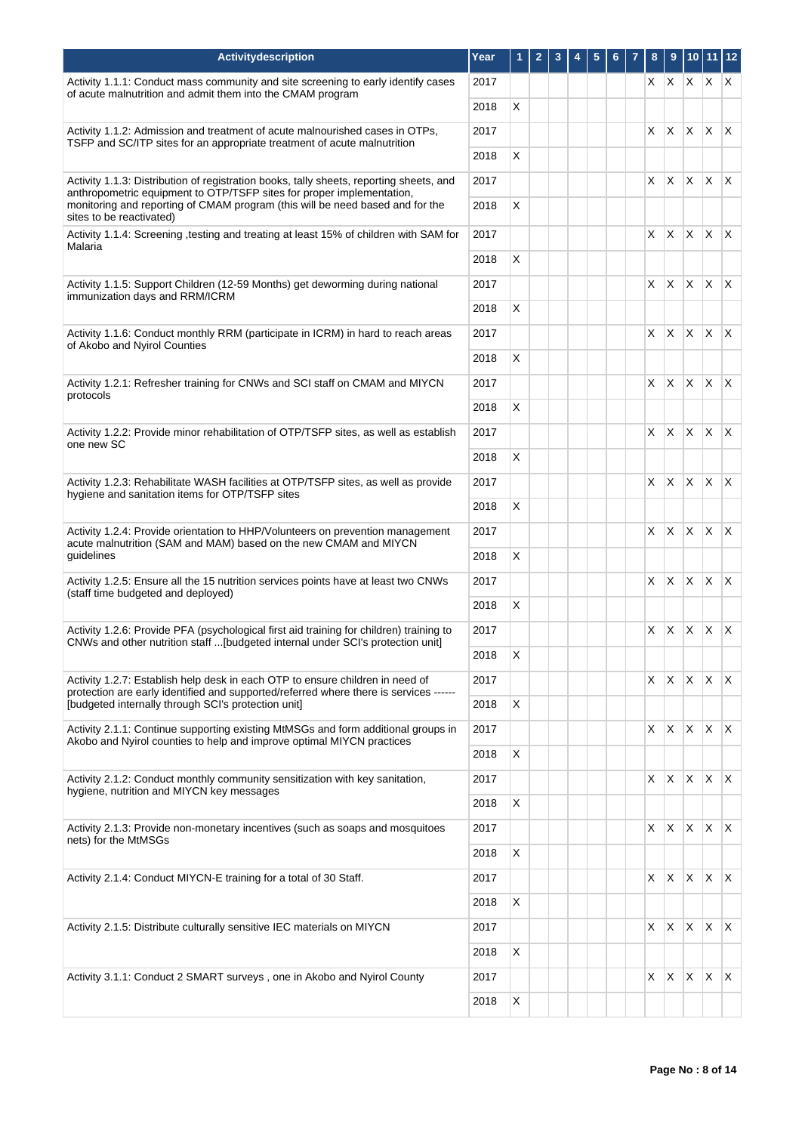| Activitydescription                                                                                                                                                                                                                               | Year         | 1            | $\mathbf{2}$ | 3 | 4 | 5 | 6 | 7 | 8        | 9            |              | $10$ 11 12              |              |
|---------------------------------------------------------------------------------------------------------------------------------------------------------------------------------------------------------------------------------------------------|--------------|--------------|--------------|---|---|---|---|---|----------|--------------|--------------|-------------------------|--------------|
| Activity 1.1.1: Conduct mass community and site screening to early identify cases<br>of acute malnutrition and admit them into the CMAM program                                                                                                   | 2017         |              |              |   |   |   |   |   | $\times$ | X.           | X.           | $\mathsf{X} \mathsf{X}$ |              |
|                                                                                                                                                                                                                                                   | 2018         | X            |              |   |   |   |   |   |          |              |              |                         |              |
| Activity 1.1.2: Admission and treatment of acute malnourished cases in OTPs,<br>TSFP and SC/ITP sites for an appropriate treatment of acute malnutrition                                                                                          | 2017         |              |              |   |   |   |   |   | X.       | X.           | ΙX.          | $\mathsf{X} \mathsf{X}$ |              |
|                                                                                                                                                                                                                                                   | 2018         | X            |              |   |   |   |   |   |          |              |              |                         |              |
| Activity 1.1.3: Distribution of registration books, tally sheets, reporting sheets, and<br>anthropometric equipment to OTP/TSFP sites for proper implementation,<br>monitoring and reporting of CMAM program (this will be need based and for the | 2017<br>2018 | X            |              |   |   |   |   |   | $\times$ | <b>X</b>     | ΙX.          | $\mathsf{X} \mathsf{X}$ |              |
| sites to be reactivated)                                                                                                                                                                                                                          |              |              |              |   |   |   |   |   |          |              |              |                         |              |
| Activity 1.1.4: Screening , testing and treating at least 15% of children with SAM for<br>Malaria                                                                                                                                                 | 2017<br>2018 | X            |              |   |   |   |   |   | X.       | X.           | ΙX.          | $\mathsf{X}$            | $\mathsf{X}$ |
|                                                                                                                                                                                                                                                   |              |              |              |   |   |   |   |   |          |              |              | $\mathsf{X}$            | $\mathsf{X}$ |
| Activity 1.1.5: Support Children (12-59 Months) get deworming during national<br>immunization days and RRM/ICRM                                                                                                                                   | 2017<br>2018 | X            |              |   |   |   |   |   | X.       | X.           | X.           |                         |              |
| Activity 1.1.6: Conduct monthly RRM (participate in ICRM) in hard to reach areas                                                                                                                                                                  | 2017         |              |              |   |   |   |   |   | $\times$ | $\mathsf{X}$ |              | $ X $ $ X $             |              |
| of Akobo and Nyirol Counties                                                                                                                                                                                                                      | 2018         | X            |              |   |   |   |   |   |          |              |              |                         |              |
| Activity 1.2.1: Refresher training for CNWs and SCI staff on CMAM and MIYCN                                                                                                                                                                       | 2017         |              |              |   |   |   |   |   | $\times$ | X            |              | $X \mid X \mid X$       |              |
| protocols                                                                                                                                                                                                                                         |              |              |              |   |   |   |   |   |          |              |              |                         |              |
|                                                                                                                                                                                                                                                   | 2018         | X            |              |   |   |   |   |   |          |              |              |                         |              |
| Activity 1.2.2: Provide minor rehabilitation of OTP/TSFP sites, as well as establish<br>one new SC                                                                                                                                                | 2017         |              |              |   |   |   |   |   | X.       | <b>X</b>     | $\mathsf{X}$ | $\mathsf{X} \mathsf{X}$ |              |
|                                                                                                                                                                                                                                                   | 2018         | X            |              |   |   |   |   |   |          |              |              |                         |              |
| Activity 1.2.3: Rehabilitate WASH facilities at OTP/TSFP sites, as well as provide<br>hygiene and sanitation items for OTP/TSFP sites                                                                                                             | 2017         |              |              |   |   |   |   |   | X.       | X.           | $\mathsf{X}$ | $\mathsf{X} \mathsf{X}$ |              |
|                                                                                                                                                                                                                                                   | 2018         | X            |              |   |   |   |   |   |          |              |              |                         |              |
| Activity 1.2.4: Provide orientation to HHP/Volunteers on prevention management<br>acute malnutrition (SAM and MAM) based on the new CMAM and MIYCN                                                                                                | 2017         | X            |              |   |   |   |   |   | $\times$ | X.           | ΙX.          | $\mathsf{X} \mathsf{X}$ |              |
| guidelines                                                                                                                                                                                                                                        | 2018         |              |              |   |   |   |   |   |          |              |              |                         |              |
| Activity 1.2.5: Ensure all the 15 nutrition services points have at least two CNWs<br>(staff time budgeted and deployed)                                                                                                                          | 2017<br>2018 | X            |              |   |   |   |   |   | X.       | X.           | $\mathsf{X}$ | $\mathsf{X} \mathsf{X}$ |              |
|                                                                                                                                                                                                                                                   |              |              |              |   |   |   |   |   |          |              |              |                         |              |
| Activity 1.2.6: Provide PFA (psychological first aid training for children) training to<br>CNWs and other nutrition staff  [budgeted internal under SCI's protection unit]                                                                        | 2017<br>2018 | $\mathsf{X}$ |              |   |   |   |   |   | X.       | X            | X            | $\times$                | $\mathsf{X}$ |
|                                                                                                                                                                                                                                                   |              |              |              |   |   |   |   |   |          |              |              |                         |              |
| Activity 1.2.7: Establish help desk in each OTP to ensure children in need of<br>protection are early identified and supported/referred where there is services ------<br>[budgeted internally through SCI's protection unit]                     | 2017<br>2018 | X            |              |   |   |   |   |   | X.       | X.           |              | $X \mid X \mid X$       |              |
|                                                                                                                                                                                                                                                   |              |              |              |   |   |   |   |   |          |              |              |                         |              |
| Activity 2.1.1: Continue supporting existing MtMSGs and form additional groups in<br>Akobo and Nyirol counties to help and improve optimal MIYCN practices                                                                                        | 2017         |              |              |   |   |   |   |   | $X \mid$ | X.           |              | $X \mid X \mid X$       |              |
|                                                                                                                                                                                                                                                   | 2018         | X            |              |   |   |   |   |   |          |              |              |                         |              |
| Activity 2.1.2: Conduct monthly community sensitization with key sanitation,<br>hygiene, nutrition and MIYCN key messages                                                                                                                         | 2017         |              |              |   |   |   |   |   | $\times$ | X            |              | $x \times x$            |              |
|                                                                                                                                                                                                                                                   | 2018         | X            |              |   |   |   |   |   |          |              |              |                         |              |
| Activity 2.1.3: Provide non-monetary incentives (such as soaps and mosquitoes<br>nets) for the MtMSGs                                                                                                                                             | 2017         |              |              |   |   |   |   |   | X.       | X.           | $\mathsf{X}$ | X                       | $\mathsf{X}$ |
|                                                                                                                                                                                                                                                   | 2018         | X            |              |   |   |   |   |   |          |              |              |                         |              |
| Activity 2.1.4: Conduct MIYCN-E training for a total of 30 Staff.                                                                                                                                                                                 | 2017         |              |              |   |   |   |   |   | $\times$ | X.           | $\mathsf{X}$ | $X$ $X$                 |              |
|                                                                                                                                                                                                                                                   | 2018         | X            |              |   |   |   |   |   |          |              |              |                         |              |
| Activity 2.1.5: Distribute culturally sensitive IEC materials on MIYCN                                                                                                                                                                            | 2017         |              |              |   |   |   |   |   | X I      | X.           | $\mathsf{X}$ | $X$ $X$                 |              |
|                                                                                                                                                                                                                                                   | 2018         | X            |              |   |   |   |   |   |          |              |              |                         |              |
| Activity 3.1.1: Conduct 2 SMART surveys, one in Akobo and Nyirol County                                                                                                                                                                           | 2017         |              |              |   |   |   |   |   | X.       | X            | $\mathsf{X}$ | $\mathsf{X}$            | X            |
|                                                                                                                                                                                                                                                   | 2018         | X            |              |   |   |   |   |   |          |              |              |                         |              |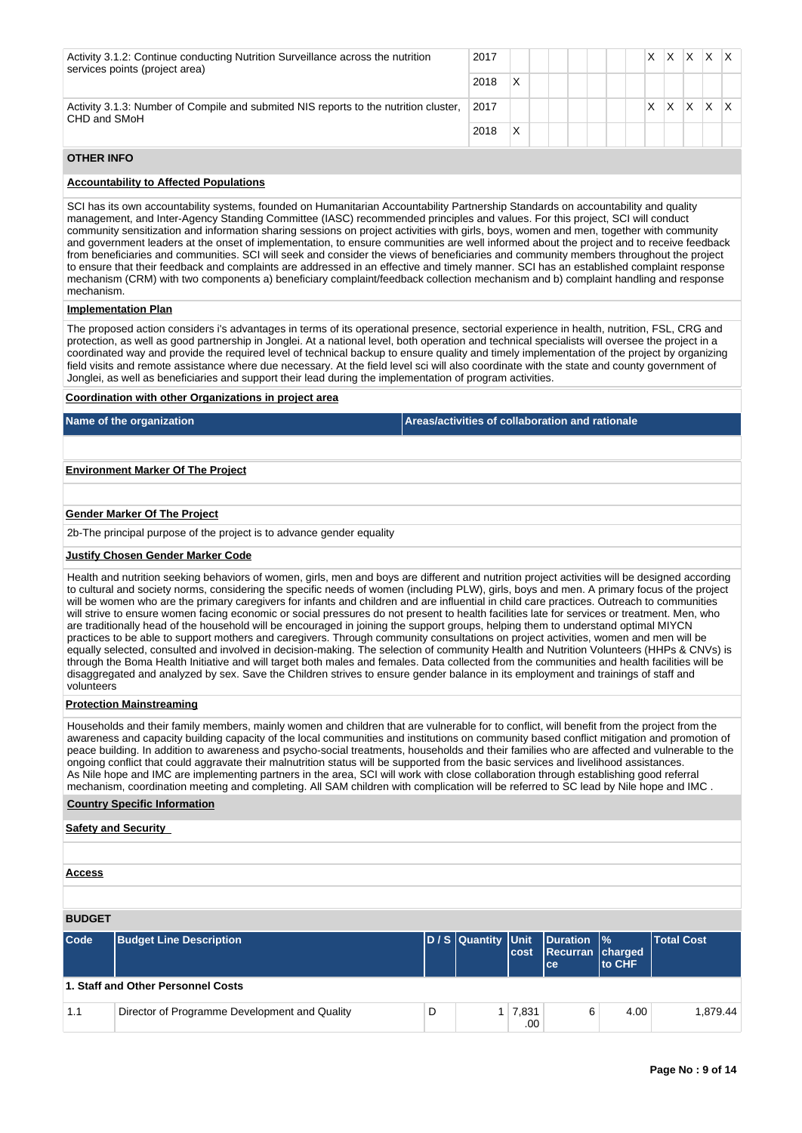| Activity 3.1.2: Continue conducting Nutrition Surveillance across the nutrition<br>services points (project area) | 2017 |   |  |  |  | х | X. | X. | X. |  |
|-------------------------------------------------------------------------------------------------------------------|------|---|--|--|--|---|----|----|----|--|
|                                                                                                                   | 2018 | x |  |  |  |   |    |    |    |  |
| Activity 3.1.3: Number of Compile and submited NIS reports to the nutrition cluster,<br>CHD and SMoH              | 2017 |   |  |  |  | X | X  | X  | X  |  |
|                                                                                                                   | 2018 | Χ |  |  |  |   |    |    |    |  |

# **OTHER INFO**

# **Accountability to Affected Populations**

SCI has its own accountability systems, founded on Humanitarian Accountability Partnership Standards on accountability and quality management, and Inter-Agency Standing Committee (IASC) recommended principles and values. For this project, SCI will conduct community sensitization and information sharing sessions on project activities with girls, boys, women and men, together with community and government leaders at the onset of implementation, to ensure communities are well informed about the project and to receive feedback from beneficiaries and communities. SCI will seek and consider the views of beneficiaries and community members throughout the project to ensure that their feedback and complaints are addressed in an effective and timely manner. SCI has an established complaint response mechanism (CRM) with two components a) beneficiary complaint/feedback collection mechanism and b) complaint handling and response mechanism.

# **Implementation Plan**

The proposed action considers i's advantages in terms of its operational presence, sectorial experience in health, nutrition, FSL, CRG and protection, as well as good partnership in Jonglei. At a national level, both operation and technical specialists will oversee the project in a coordinated way and provide the required level of technical backup to ensure quality and timely implementation of the project by organizing field visits and remote assistance where due necessary. At the field level sci will also coordinate with the state and county government of Jonglei, as well as beneficiaries and support their lead during the implementation of program activities.

#### **Coordination with other Organizations in project area**

**Name of the organization Areas/activities of collaboration and rationale** 

#### **Environment Marker Of The Project**

#### **Gender Marker Of The Project**

2b-The principal purpose of the project is to advance gender equality

#### **Justify Chosen Gender Marker Code**

Health and nutrition seeking behaviors of women, girls, men and boys are different and nutrition project activities will be designed according to cultural and society norms, considering the specific needs of women (including PLW), girls, boys and men. A primary focus of the project will be women who are the primary caregivers for infants and children and are influential in child care practices. Outreach to communities will strive to ensure women facing economic or social pressures do not present to health facilities late for services or treatment. Men, who are traditionally head of the household will be encouraged in joining the support groups, helping them to understand optimal MIYCN practices to be able to support mothers and caregivers. Through community consultations on project activities, women and men will be equally selected, consulted and involved in decision-making. The selection of community Health and Nutrition Volunteers (HHPs & CNVs) is through the Boma Health Initiative and will target both males and females. Data collected from the communities and health facilities will be disaggregated and analyzed by sex. Save the Children strives to ensure gender balance in its employment and trainings of staff and volunteers

#### **Protection Mainstreaming**

Households and their family members, mainly women and children that are vulnerable for to conflict, will benefit from the project from the awareness and capacity building capacity of the local communities and institutions on community based conflict mitigation and promotion of peace building. In addition to awareness and psycho-social treatments, households and their families who are affected and vulnerable to the ongoing conflict that could aggravate their malnutrition status will be supported from the basic services and livelihood assistances. As Nile hope and IMC are implementing partners in the area, SCI will work with close collaboration through establishing good referral mechanism, coordination meeting and completing. All SAM children with complication will be referred to SC lead by Nile hope and IMC .

## **Country Specific Information**

# **Safety and Security**

# **Access**

| <b>BUDGET</b> |
|---------------|
|               |

| $\mathsf{Code}$                    | <b>Budget Line Description</b>                |   |  | cost                  | D/S Quantity Unit Duration %<br>Recurran charged<br>lce: | <b>Ito CHF</b> | <b>Total Cost</b> |  |
|------------------------------------|-----------------------------------------------|---|--|-----------------------|----------------------------------------------------------|----------------|-------------------|--|
| 1. Staff and Other Personnel Costs |                                               |   |  |                       |                                                          |                |                   |  |
| 1.1                                | Director of Programme Development and Quality | D |  | $1 \mid 7,831$<br>.00 | 6                                                        | 4.00           | 1.879.44          |  |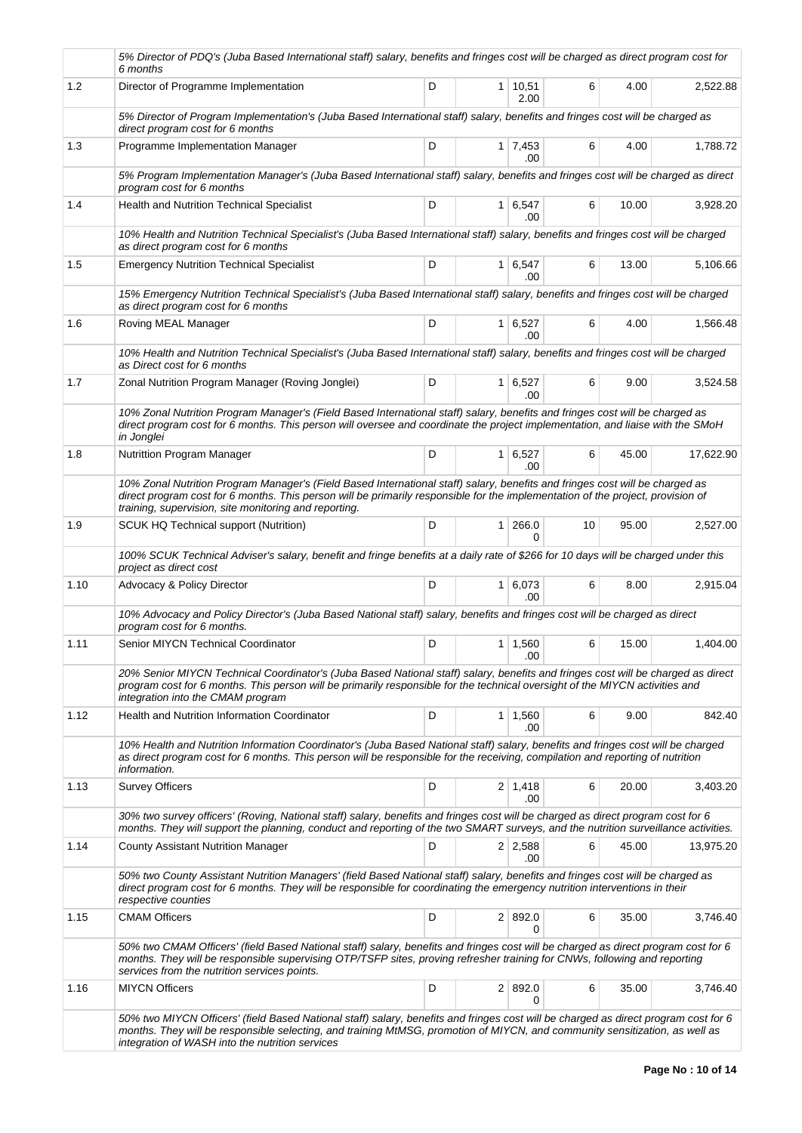|      | 5% Director of PDQ's (Juba Based International staff) salary, benefits and fringes cost will be charged as direct program cost for<br>6 months                                                                                                                                                                           |   |                             |    |       |           |
|------|--------------------------------------------------------------------------------------------------------------------------------------------------------------------------------------------------------------------------------------------------------------------------------------------------------------------------|---|-----------------------------|----|-------|-----------|
| 1.2  | Director of Programme Implementation                                                                                                                                                                                                                                                                                     | D | $1 \mid 10,51$<br>2.00      | 6  | 4.00  | 2,522.88  |
|      | 5% Director of Program Implementation's (Juba Based International staff) salary, benefits and fringes cost will be charged as<br>direct program cost for 6 months                                                                                                                                                        |   |                             |    |       |           |
| 1.3  | Programme Implementation Manager                                                                                                                                                                                                                                                                                         | D | $1 \overline{7,453}$<br>.00 | 6  | 4.00  | 1,788.72  |
|      | 5% Program Implementation Manager's (Juba Based International staff) salary, benefits and fringes cost will be charged as direct<br>program cost for 6 months                                                                                                                                                            |   |                             |    |       |           |
| 1.4  | Health and Nutrition Technical Specialist                                                                                                                                                                                                                                                                                | D | 1 6,547<br>.00              | 6  | 10.00 | 3,928.20  |
|      | 10% Health and Nutrition Technical Specialist's (Juba Based International staff) salary, benefits and fringes cost will be charged<br>as direct program cost for 6 months                                                                                                                                                |   |                             |    |       |           |
| 1.5  | <b>Emergency Nutrition Technical Specialist</b>                                                                                                                                                                                                                                                                          | D | $1 \vert 6, 547$<br>.00.    | 6  | 13.00 | 5,106.66  |
|      | 15% Emergency Nutrition Technical Specialist's (Juba Based International staff) salary, benefits and fringes cost will be charged<br>as direct program cost for 6 months                                                                                                                                                 |   |                             |    |       |           |
| 1.6  | Roving MEAL Manager                                                                                                                                                                                                                                                                                                      | D | $1 \ 6,527$<br>.00          | 6  | 4.00  | 1,566.48  |
|      | 10% Health and Nutrition Technical Specialist's (Juba Based International staff) salary, benefits and fringes cost will be charged<br>as Direct cost for 6 months                                                                                                                                                        |   |                             |    |       |           |
| 1.7  | Zonal Nutrition Program Manager (Roving Jonglei)                                                                                                                                                                                                                                                                         | D | $1 \vert 6, 527$<br>.00     | 6  | 9.00  | 3,524.58  |
|      | 10% Zonal Nutrition Program Manager's (Field Based International staff) salary, benefits and fringes cost will be charged as<br>direct program cost for 6 months. This person will oversee and coordinate the project implementation, and liaise with the SMoH<br>in Jonglei                                             |   |                             |    |       |           |
| 1.8  | Nutrittion Program Manager                                                                                                                                                                                                                                                                                               | D | $1 \vert 6,527$<br>.00.     | 6  | 45.00 | 17,622.90 |
|      | 10% Zonal Nutrition Program Manager's (Field Based International staff) salary, benefits and fringes cost will be charged as<br>direct program cost for 6 months. This person will be primarily responsible for the implementation of the project, provision of<br>training, supervision, site monitoring and reporting. |   |                             |    |       |           |
| 1.9  | <b>SCUK HQ Technical support (Nutrition)</b>                                                                                                                                                                                                                                                                             | D | 1 266.0<br>$\Omega$         | 10 | 95.00 | 2,527.00  |
|      | 100% SCUK Technical Adviser's salary, benefit and fringe benefits at a daily rate of \$266 for 10 days will be charged under this<br>project as direct cost                                                                                                                                                              |   |                             |    |       |           |
| 1.10 | Advocacy & Policy Director                                                                                                                                                                                                                                                                                               | D | 1 6,073<br>.00              | 6  | 8.00  | 2,915.04  |
|      | 10% Advocacy and Policy Director's (Juba Based National staff) salary, benefits and fringes cost will be charged as direct<br>program cost for 6 months.                                                                                                                                                                 |   |                             |    |       |           |
| 1.11 | Senior MIYCN Technical Coordinator                                                                                                                                                                                                                                                                                       | D | $1 \mid 1,560$<br>.00       | 6  | 15.00 | 1,404.00  |
|      | 20% Senior MIYCN Technical Coordinator's (Juba Based National staff) salary, benefits and fringes cost will be charged as direct<br>program cost for 6 months. This person will be primarily responsible for the technical oversight of the MIYCN activities and<br>integration into the CMAM program                    |   |                             |    |       |           |
| 1.12 | Health and Nutrition Information Coordinator                                                                                                                                                                                                                                                                             | D | $1 \mid 1,560$<br>.00       | 6  | 9.00  | 842.40    |
|      | 10% Health and Nutrition Information Coordinator's (Juba Based National staff) salary, benefits and fringes cost will be charged<br>as direct program cost for 6 months. This person will be responsible for the receiving, compilation and reporting of nutrition<br>information.                                       |   |                             |    |       |           |
| 1.13 | <b>Survey Officers</b>                                                                                                                                                                                                                                                                                                   | D | $2 \mid 1,418$<br>.00.      | 6  | 20.00 | 3,403.20  |
|      | 30% two survey officers' (Roving, National staff) salary, benefits and fringes cost will be charged as direct program cost for 6<br>months. They will support the planning, conduct and reporting of the two SMART surveys, and the nutrition surveillance activities.                                                   |   |                             |    |       |           |
| 1.14 | <b>County Assistant Nutrition Manager</b>                                                                                                                                                                                                                                                                                | D | $2 \mid 2,588$<br>.00       | 6  | 45.00 | 13,975.20 |
|      | 50% two County Assistant Nutrition Managers' (field Based National staff) salary, benefits and fringes cost will be charged as<br>direct program cost for 6 months. They will be responsible for coordinating the emergency nutrition interventions in their<br>respective counties                                      |   |                             |    |       |           |
| 1.15 | <b>CMAM Officers</b>                                                                                                                                                                                                                                                                                                     | D | 2   892.0<br>0              | 6  | 35.00 | 3,746.40  |
|      | 50% two CMAM Officers' (field Based National staff) salary, benefits and fringes cost will be charged as direct program cost for 6<br>months. They will be responsible supervising OTP/TSFP sites, proving refresher training for CNWs, following and reporting<br>services from the nutrition services points.          |   |                             |    |       |           |
| 1.16 | <b>MIYCN Officers</b>                                                                                                                                                                                                                                                                                                    | D | 2 892.0<br>0                | 6  | 35.00 | 3,746.40  |
|      | 50% two MIYCN Officers' (field Based National staff) salary, benefits and fringes cost will be charged as direct program cost for 6<br>months. They will be responsible selecting, and training MtMSG, promotion of MIYCN, and community sensitization, as well as<br>integration of WASH into the nutrition services    |   |                             |    |       |           |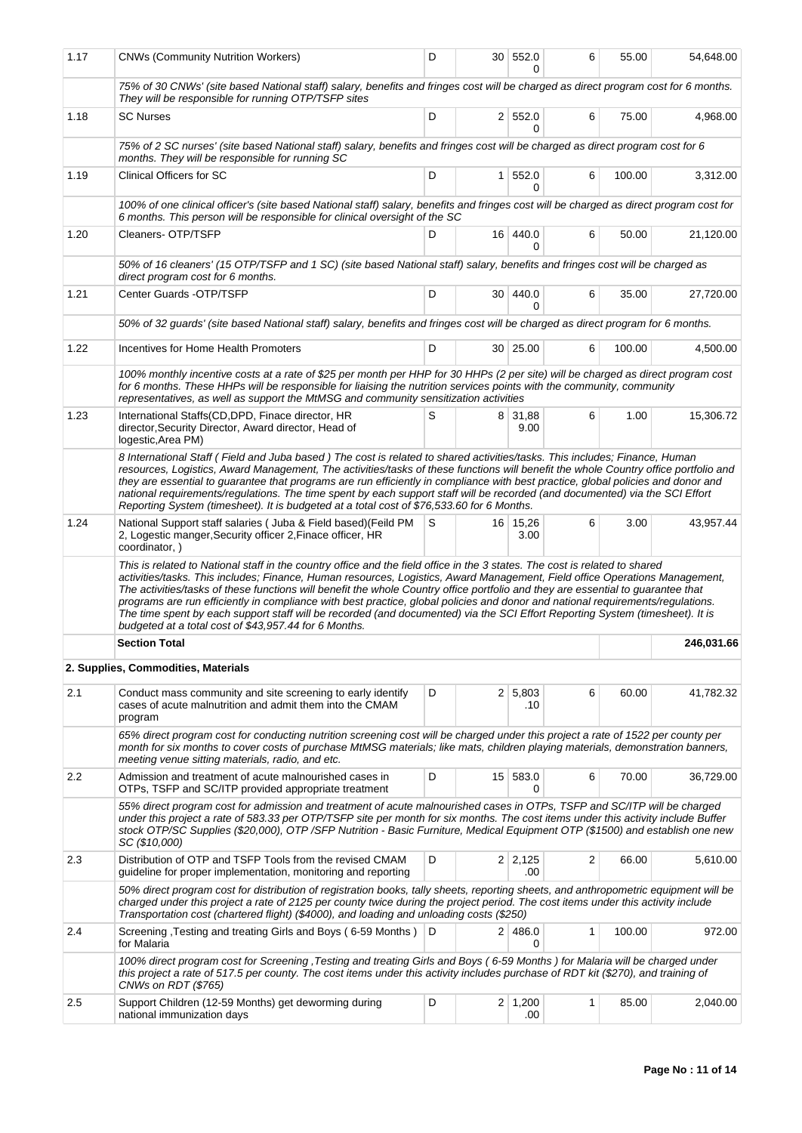| 1.17 | <b>CNWs (Community Nutrition Workers)</b>                                                                                                                                                                                                                                                                                                                                                                                                                                                                                                                                                                                                                                                                                   | D                                                                                                                                                                                                                                                                                                                                                 |                 | 30 552.0              | 6            | 55.00  | 54,648.00  |  |  |  |  |
|------|-----------------------------------------------------------------------------------------------------------------------------------------------------------------------------------------------------------------------------------------------------------------------------------------------------------------------------------------------------------------------------------------------------------------------------------------------------------------------------------------------------------------------------------------------------------------------------------------------------------------------------------------------------------------------------------------------------------------------------|---------------------------------------------------------------------------------------------------------------------------------------------------------------------------------------------------------------------------------------------------------------------------------------------------------------------------------------------------|-----------------|-----------------------|--------------|--------|------------|--|--|--|--|
|      | 75% of 30 CNWs' (site based National staff) salary, benefits and fringes cost will be charged as direct program cost for 6 months.<br>They will be responsible for running OTP/TSFP sites                                                                                                                                                                                                                                                                                                                                                                                                                                                                                                                                   |                                                                                                                                                                                                                                                                                                                                                   |                 |                       |              |        |            |  |  |  |  |
| 1.18 | <b>SC Nurses</b>                                                                                                                                                                                                                                                                                                                                                                                                                                                                                                                                                                                                                                                                                                            | D                                                                                                                                                                                                                                                                                                                                                 |                 | 2   552.0<br>0        | 6            | 75.00  | 4,968.00   |  |  |  |  |
|      | 75% of 2 SC nurses' (site based National staff) salary, benefits and fringes cost will be charged as direct program cost for 6<br>months. They will be responsible for running SC                                                                                                                                                                                                                                                                                                                                                                                                                                                                                                                                           |                                                                                                                                                                                                                                                                                                                                                   |                 |                       |              |        |            |  |  |  |  |
| 1.19 | <b>Clinical Officers for SC</b>                                                                                                                                                                                                                                                                                                                                                                                                                                                                                                                                                                                                                                                                                             | D                                                                                                                                                                                                                                                                                                                                                 | 1 <sup>1</sup>  | 552.0<br>$\Omega$     | 6            | 100.00 | 3,312.00   |  |  |  |  |
|      | 100% of one clinical officer's (site based National staff) salary, benefits and fringes cost will be charged as direct program cost for<br>6 months. This person will be responsible for clinical oversight of the SC                                                                                                                                                                                                                                                                                                                                                                                                                                                                                                       |                                                                                                                                                                                                                                                                                                                                                   |                 |                       |              |        |            |  |  |  |  |
| 1.20 | Cleaners- OTP/TSFP                                                                                                                                                                                                                                                                                                                                                                                                                                                                                                                                                                                                                                                                                                          | D                                                                                                                                                                                                                                                                                                                                                 |                 | 16 440.0<br>0         | 6            | 50.00  | 21,120.00  |  |  |  |  |
|      | 50% of 16 cleaners' (15 OTP/TSFP and 1 SC) (site based National staff) salary, benefits and fringes cost will be charged as<br>direct program cost for 6 months.                                                                                                                                                                                                                                                                                                                                                                                                                                                                                                                                                            |                                                                                                                                                                                                                                                                                                                                                   |                 |                       |              |        |            |  |  |  |  |
| 1.21 | Center Guards - OTP/TSFP                                                                                                                                                                                                                                                                                                                                                                                                                                                                                                                                                                                                                                                                                                    | D                                                                                                                                                                                                                                                                                                                                                 |                 | 30   440.0<br>0       | 6            | 35.00  | 27,720.00  |  |  |  |  |
|      | 50% of 32 guards' (site based National staff) salary, benefits and fringes cost will be charged as direct program for 6 months.                                                                                                                                                                                                                                                                                                                                                                                                                                                                                                                                                                                             |                                                                                                                                                                                                                                                                                                                                                   |                 |                       |              |        |            |  |  |  |  |
| 1.22 | Incentives for Home Health Promoters                                                                                                                                                                                                                                                                                                                                                                                                                                                                                                                                                                                                                                                                                        | D                                                                                                                                                                                                                                                                                                                                                 |                 | 30   25.00            | 6            | 100.00 | 4,500.00   |  |  |  |  |
|      |                                                                                                                                                                                                                                                                                                                                                                                                                                                                                                                                                                                                                                                                                                                             | 100% monthly incentive costs at a rate of \$25 per month per HHP for 30 HHPs (2 per site) will be charged as direct program cost<br>for 6 months. These HHPs will be responsible for liaising the nutrition services points with the community, community<br>representatives, as well as support the MtMSG and community sensitization activities |                 |                       |              |        |            |  |  |  |  |
| 1.23 | International Staffs(CD,DPD, Finace director, HR<br>director, Security Director, Award director, Head of<br>logestic, Area PM)                                                                                                                                                                                                                                                                                                                                                                                                                                                                                                                                                                                              | S                                                                                                                                                                                                                                                                                                                                                 |                 | 8 31,88<br>9.00       | 6            | 1.00   | 15,306.72  |  |  |  |  |
|      | 8 International Staff (Field and Juba based) The cost is related to shared activities/tasks. This includes; Finance, Human<br>resources, Logistics, Award Management, The activities/tasks of these functions will benefit the whole Country office portfolio and<br>they are essential to guarantee that programs are run efficiently in compliance with best practice, global policies and donor and<br>national requirements/regulations. The time spent by each support staff will be recorded (and documented) via the SCI Effort<br>Reporting System (timesheet). It is budgeted at a total cost of \$76,533.60 for 6 Months.                                                                                         |                                                                                                                                                                                                                                                                                                                                                   |                 |                       |              |        |            |  |  |  |  |
| 1.24 | National Support staff salaries (Juba & Field based) (Feild PM<br>2, Logestic manger, Security officer 2, Finace officer, HR<br>coordinator, )                                                                                                                                                                                                                                                                                                                                                                                                                                                                                                                                                                              | S                                                                                                                                                                                                                                                                                                                                                 |                 | 16 15,26<br>3.00      | 6            | 3.00   | 43,957.44  |  |  |  |  |
|      | This is related to National staff in the country office and the field office in the 3 states. The cost is related to shared<br>activities/tasks. This includes; Finance, Human resources, Logistics, Award Management, Field office Operations Management,<br>The activities/tasks of these functions will benefit the whole Country office portfolio and they are essential to guarantee that<br>programs are run efficiently in compliance with best practice, global policies and donor and national requirements/regulations.<br>The time spent by each support staff will be recorded (and documented) via the SCI Effort Reporting System (timesheet). It is<br>budgeted at a total cost of \$43,957.44 for 6 Months. |                                                                                                                                                                                                                                                                                                                                                   |                 |                       |              |        |            |  |  |  |  |
|      | <b>Section Total</b>                                                                                                                                                                                                                                                                                                                                                                                                                                                                                                                                                                                                                                                                                                        |                                                                                                                                                                                                                                                                                                                                                   |                 |                       |              |        | 246,031.66 |  |  |  |  |
|      | 2. Supplies, Commodities, Materials                                                                                                                                                                                                                                                                                                                                                                                                                                                                                                                                                                                                                                                                                         |                                                                                                                                                                                                                                                                                                                                                   |                 |                       |              |        |            |  |  |  |  |
| 2.1  | Conduct mass community and site screening to early identify<br>cases of acute malnutrition and admit them into the CMAM<br>program                                                                                                                                                                                                                                                                                                                                                                                                                                                                                                                                                                                          | D                                                                                                                                                                                                                                                                                                                                                 |                 | $2 \mid 5,803$<br>.10 | 6            | 60.00  | 41,782.32  |  |  |  |  |
|      | 65% direct program cost for conducting nutrition screening cost will be charged under this project a rate of 1522 per county per<br>month for six months to cover costs of purchase MtMSG materials; like mats, children playing materials, demonstration banners,<br>meeting venue sitting materials, radio, and etc.                                                                                                                                                                                                                                                                                                                                                                                                      |                                                                                                                                                                                                                                                                                                                                                   |                 |                       |              |        |            |  |  |  |  |
| 2.2  | Admission and treatment of acute malnourished cases in<br>OTPs, TSFP and SC/ITP provided appropriate treatment                                                                                                                                                                                                                                                                                                                                                                                                                                                                                                                                                                                                              | D                                                                                                                                                                                                                                                                                                                                                 | 15 <sup>1</sup> | 583.0<br>0            | 6            | 70.00  | 36,729.00  |  |  |  |  |
|      | 55% direct program cost for admission and treatment of acute malnourished cases in OTPs, TSFP and SC/ITP will be charged<br>under this project a rate of 583.33 per OTP/TSFP site per month for six months. The cost items under this activity include Buffer<br>stock OTP/SC Supplies (\$20,000), OTP /SFP Nutrition - Basic Furniture, Medical Equipment OTP (\$1500) and establish one new<br>SC (\$10,000)                                                                                                                                                                                                                                                                                                              |                                                                                                                                                                                                                                                                                                                                                   |                 |                       |              |        |            |  |  |  |  |
| 2.3  | Distribution of OTP and TSFP Tools from the revised CMAM<br>guideline for proper implementation, monitoring and reporting                                                                                                                                                                                                                                                                                                                                                                                                                                                                                                                                                                                                   | D                                                                                                                                                                                                                                                                                                                                                 |                 | $2 \mid 2,125$<br>.00 | 2            | 66.00  | 5,610.00   |  |  |  |  |
|      | 50% direct program cost for distribution of registration books, tally sheets, reporting sheets, and anthropometric equipment will be<br>charged under this project a rate of 2125 per county twice during the project period. The cost items under this activity include<br>Transportation cost (chartered flight) (\$4000), and loading and unloading costs (\$250)                                                                                                                                                                                                                                                                                                                                                        |                                                                                                                                                                                                                                                                                                                                                   |                 |                       |              |        |            |  |  |  |  |
| 2.4  | Screening , Testing and treating Girls and Boys (6-59 Months)<br>for Malaria                                                                                                                                                                                                                                                                                                                                                                                                                                                                                                                                                                                                                                                | D                                                                                                                                                                                                                                                                                                                                                 |                 | 2 486.0<br>0          | $\mathbf{1}$ | 100.00 | 972.00     |  |  |  |  |
|      | 100% direct program cost for Screening , Testing and treating Girls and Boys (6-59 Months) for Malaria will be charged under<br>this project a rate of 517.5 per county. The cost items under this activity includes purchase of RDT kit (\$270), and training of<br>CNWs on RDT (\$765)                                                                                                                                                                                                                                                                                                                                                                                                                                    |                                                                                                                                                                                                                                                                                                                                                   |                 |                       |              |        |            |  |  |  |  |
| 2.5  | Support Children (12-59 Months) get deworming during<br>national immunization days                                                                                                                                                                                                                                                                                                                                                                                                                                                                                                                                                                                                                                          | D                                                                                                                                                                                                                                                                                                                                                 |                 | $2 \mid 1,200$<br>.00 | 1            | 85.00  | 2,040.00   |  |  |  |  |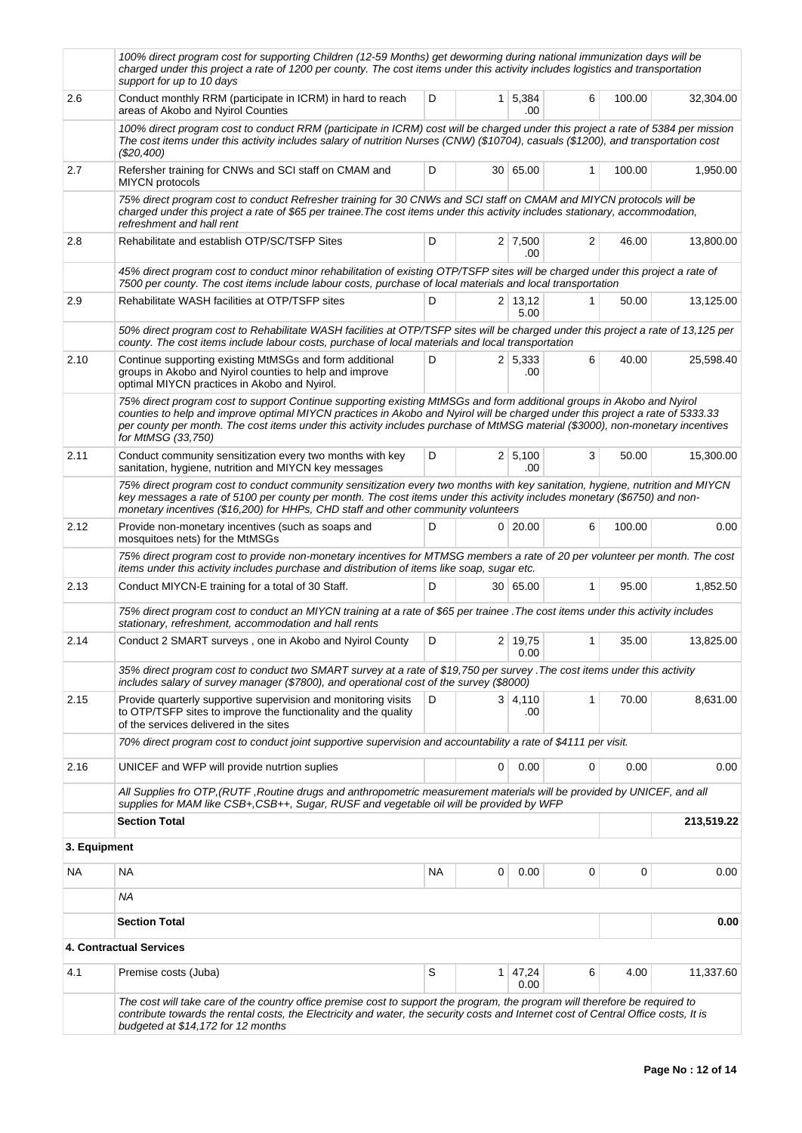|              | 100% direct program cost for supporting Children (12-59 Months) get deworming during national immunization days will be<br>charged under this project a rate of 1200 per county. The cost items under this activity includes logistics and transportation<br>support for up to 10 days                                                                                                                         |           |   |                        |   |        |            |
|--------------|----------------------------------------------------------------------------------------------------------------------------------------------------------------------------------------------------------------------------------------------------------------------------------------------------------------------------------------------------------------------------------------------------------------|-----------|---|------------------------|---|--------|------------|
| 2.6          | Conduct monthly RRM (participate in ICRM) in hard to reach<br>areas of Akobo and Nyirol Counties                                                                                                                                                                                                                                                                                                               | D         |   | $1 \mid 5,384$<br>.00  | 6 | 100.00 | 32,304.00  |
|              | 100% direct program cost to conduct RRM (participate in ICRM) cost will be charged under this project a rate of 5384 per mission<br>The cost items under this activity includes salary of nutrition Nurses (CNW) (\$10704), casuals (\$1200), and transportation cost<br>$(\$20,400)$                                                                                                                          |           |   |                        |   |        |            |
| $2.7\,$      | Refersher training for CNWs and SCI staff on CMAM and<br><b>MIYCN</b> protocols                                                                                                                                                                                                                                                                                                                                | D         |   | 30 65.00               | 1 | 100.00 | 1,950.00   |
|              | 75% direct program cost to conduct Refresher training for 30 CNWs and SCI staff on CMAM and MIYCN protocols will be<br>charged under this project a rate of \$65 per trainee. The cost items under this activity includes stationary, accommodation,<br>refreshment and hall rent                                                                                                                              |           |   |                        |   |        |            |
| 2.8          | Rehabilitate and establish OTP/SC/TSFP Sites                                                                                                                                                                                                                                                                                                                                                                   | D         |   | $2 \mid 7,500$<br>.00  | 2 | 46.00  | 13,800.00  |
|              | 45% direct program cost to conduct minor rehabilitation of existing OTP/TSFP sites will be charged under this project a rate of<br>7500 per county. The cost items include labour costs, purchase of local materials and local transportation                                                                                                                                                                  |           |   |                        |   |        |            |
| 2.9          | Rehabilitate WASH facilities at OTP/TSFP sites                                                                                                                                                                                                                                                                                                                                                                 | D         |   | $2 \mid 13,12$<br>5.00 | 1 | 50.00  | 13,125.00  |
|              | 50% direct program cost to Rehabilitate WASH facilities at OTP/TSFP sites will be charged under this project a rate of 13,125 per<br>county. The cost items include labour costs, purchase of local materials and local transportation                                                                                                                                                                         |           |   |                        |   |        |            |
| 2.10         | Continue supporting existing MtMSGs and form additional<br>groups in Akobo and Nyirol counties to help and improve<br>optimal MIYCN practices in Akobo and Nyirol.                                                                                                                                                                                                                                             | D         |   | 2 5,333<br>.00         | 6 | 40.00  | 25,598.40  |
|              | 75% direct program cost to support Continue supporting existing MtMSGs and form additional groups in Akobo and Nyirol<br>counties to help and improve optimal MIYCN practices in Akobo and Nyirol will be charged under this project a rate of 5333.33<br>per county per month. The cost items under this activity includes purchase of MtMSG material (\$3000), non-monetary incentives<br>for MtMSG (33,750) |           |   |                        |   |        |            |
| 2.11         | Conduct community sensitization every two months with key<br>sanitation, hygiene, nutrition and MIYCN key messages                                                                                                                                                                                                                                                                                             | D         |   | 2 5,100<br>.00         | 3 | 50.00  | 15,300.00  |
|              | 75% direct program cost to conduct community sensitization every two months with key sanitation, hygiene, nutrition and MIYCN<br>key messages a rate of 5100 per county per month. The cost items under this activity includes monetary (\$6750) and non-<br>monetary incentives (\$16,200) for HHPs, CHD staff and other community volunteers                                                                 |           |   |                        |   |        |            |
| 2.12         | Provide non-monetary incentives (such as soaps and<br>mosquitoes nets) for the MtMSGs                                                                                                                                                                                                                                                                                                                          | D         |   | $0$ 20.00              | 6 | 100.00 | 0.00       |
|              | 75% direct program cost to provide non-monetary incentives for MTMSG members a rate of 20 per volunteer per month. The cost<br>items under this activity includes purchase and distribution of items like soap, sugar etc.                                                                                                                                                                                     |           |   |                        |   |        |            |
| 2.13         | Conduct MIYCN-E training for a total of 30 Staff.                                                                                                                                                                                                                                                                                                                                                              | D         |   | 30   65.00             | 1 | 95.00  | 1,852.50   |
|              | 75% direct program cost to conduct an MIYCN training at a rate of \$65 per trainee. The cost items under this activity includes<br>stationary, refreshment, accommodation and hall rents                                                                                                                                                                                                                       |           |   |                        |   |        |            |
| 2.14         | Conduct 2 SMART surveys, one in Akobo and Nyirol County                                                                                                                                                                                                                                                                                                                                                        | D         |   | $2 \mid 19,75$<br>0.00 | 1 | 35.00  | 13,825.00  |
|              | 35% direct program cost to conduct two SMART survey at a rate of \$19,750 per survey . The cost items under this activity<br>includes salary of survey manager (\$7800), and operational cost of the survey (\$8000)                                                                                                                                                                                           |           |   |                        |   |        |            |
| 2.15         | Provide quarterly supportive supervision and monitoring visits<br>to OTP/TSFP sites to improve the functionality and the quality<br>of the services delivered in the sites                                                                                                                                                                                                                                     | D         |   | 3   4,110<br>.00       | 1 | 70.00  | 8,631.00   |
|              | 70% direct program cost to conduct joint supportive supervision and accountability a rate of \$4111 per visit.                                                                                                                                                                                                                                                                                                 |           |   |                        |   |        |            |
| 2.16         | UNICEF and WFP will provide nutrtion suplies                                                                                                                                                                                                                                                                                                                                                                   |           | 0 | 0.00                   | 0 | 0.00   | 0.00       |
|              | All Supplies fro OTP, (RUTF, Routine drugs and anthropometric measurement materials will be provided by UNICEF, and all<br>supplies for MAM like CSB+, CSB++, Sugar, RUSF and vegetable oil will be provided by WFP                                                                                                                                                                                            |           |   |                        |   |        |            |
|              | <b>Section Total</b>                                                                                                                                                                                                                                                                                                                                                                                           |           |   |                        |   |        | 213,519.22 |
| 3. Equipment |                                                                                                                                                                                                                                                                                                                                                                                                                |           |   |                        |   |        |            |
| NA.          | NA                                                                                                                                                                                                                                                                                                                                                                                                             | <b>NA</b> | 0 | 0.00                   | 0 | 0      | 0.00       |
|              | ΝA                                                                                                                                                                                                                                                                                                                                                                                                             |           |   |                        |   |        |            |
|              | <b>Section Total</b>                                                                                                                                                                                                                                                                                                                                                                                           |           |   |                        |   |        | 0.00       |
|              | 4. Contractual Services                                                                                                                                                                                                                                                                                                                                                                                        |           |   |                        |   |        |            |
| 4.1          | Premise costs (Juba)                                                                                                                                                                                                                                                                                                                                                                                           | S         |   | $1 \mid 47,24$<br>0.00 | 6 | 4.00   | 11,337.60  |
|              | The cost will take care of the country office premise cost to support the program, the program will therefore be required to<br>contribute towards the rental costs, the Electricity and water, the security costs and Internet cost of Central Office costs, It is<br>budgeted at \$14,172 for 12 months                                                                                                      |           |   |                        |   |        |            |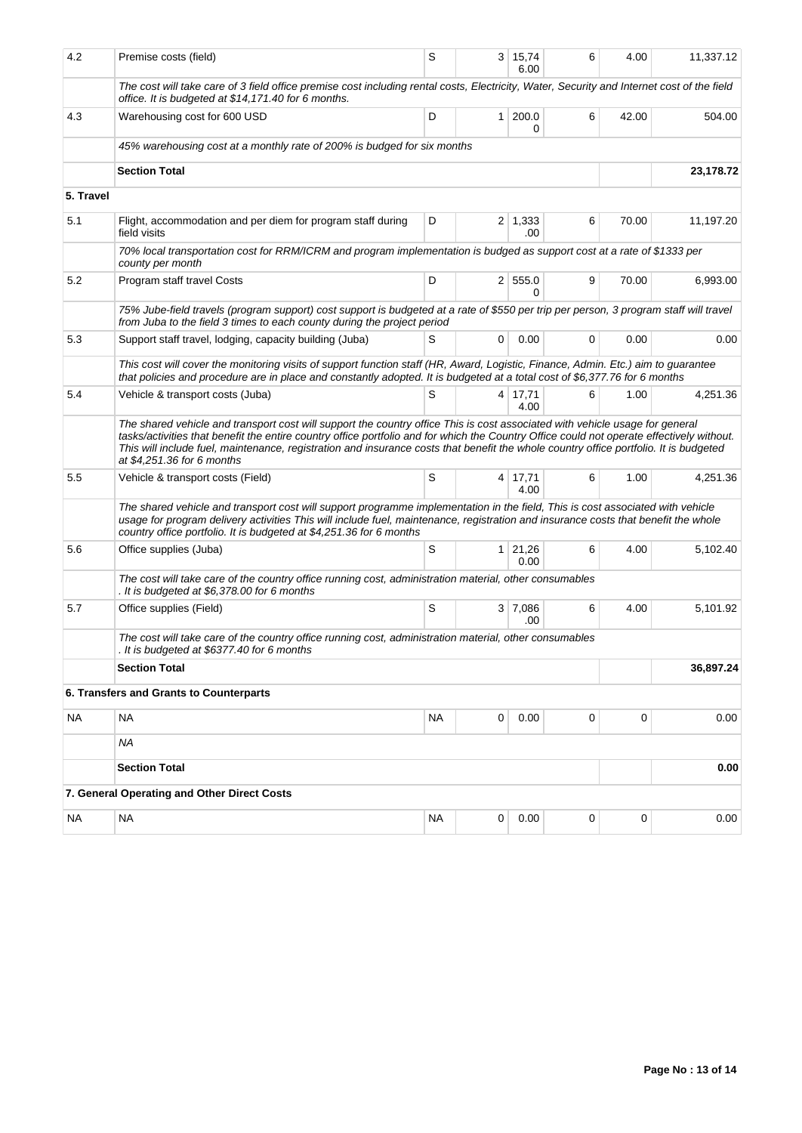| 4.2       | Premise costs (field)                                                                                                                                                                                                                                                                                                                                                                                                                            | S         |   | 3 15,74                | 6 | 4.00        | 11,337.12 |
|-----------|--------------------------------------------------------------------------------------------------------------------------------------------------------------------------------------------------------------------------------------------------------------------------------------------------------------------------------------------------------------------------------------------------------------------------------------------------|-----------|---|------------------------|---|-------------|-----------|
|           | The cost will take care of 3 field office premise cost including rental costs, Electricity, Water, Security and Internet cost of the field<br>office. It is budgeted at \$14,171.40 for 6 months.                                                                                                                                                                                                                                                |           |   | 6.00                   |   |             |           |
| 4.3       | Warehousing cost for 600 USD                                                                                                                                                                                                                                                                                                                                                                                                                     | D         |   | 1 200.0<br>0           | 6 | 42.00       | 504.00    |
|           | 45% warehousing cost at a monthly rate of 200% is budged for six months                                                                                                                                                                                                                                                                                                                                                                          |           |   |                        |   |             |           |
|           | <b>Section Total</b>                                                                                                                                                                                                                                                                                                                                                                                                                             |           |   |                        |   |             | 23,178.72 |
| 5. Travel |                                                                                                                                                                                                                                                                                                                                                                                                                                                  |           |   |                        |   |             |           |
| 5.1       | Flight, accommodation and per diem for program staff during<br>field visits                                                                                                                                                                                                                                                                                                                                                                      | D         |   | $2 \mid 1,333$<br>.00  | 6 | 70.00       | 11,197.20 |
|           | 70% local transportation cost for RRM/ICRM and program implementation is budged as support cost at a rate of \$1333 per<br>county per month                                                                                                                                                                                                                                                                                                      |           |   |                        |   |             |           |
| 5.2       | Program staff travel Costs                                                                                                                                                                                                                                                                                                                                                                                                                       | D         |   | 2 555.0<br>$\Omega$    | 9 | 70.00       | 6,993.00  |
|           | 75% Jube-field travels (program support) cost support is budgeted at a rate of \$550 per trip per person, 3 program staff will travel<br>from Juba to the field 3 times to each county during the project period                                                                                                                                                                                                                                 |           |   |                        |   |             |           |
| 5.3       | Support staff travel, lodging, capacity building (Juba)                                                                                                                                                                                                                                                                                                                                                                                          | S         | 0 | 0.00                   | 0 | 0.00        | 0.00      |
|           | This cost will cover the monitoring visits of support function staff (HR, Award, Logistic, Finance, Admin. Etc.) aim to guarantee<br>that policies and procedure are in place and constantly adopted. It is budgeted at a total cost of \$6,377.76 for 6 months                                                                                                                                                                                  |           |   |                        |   |             |           |
| 5.4       | Vehicle & transport costs (Juba)                                                                                                                                                                                                                                                                                                                                                                                                                 | S         |   | 4 17,71<br>4.00        | 6 | 1.00        | 4,251.36  |
|           | The shared vehicle and transport cost will support the country office This is cost associated with vehicle usage for general<br>tasks/activities that benefit the entire country office portfolio and for which the Country Office could not operate effectively without.<br>This will include fuel, maintenance, registration and insurance costs that benefit the whole country office portfolio. It is budgeted<br>at \$4,251.36 for 6 months |           |   |                        |   |             |           |
| 5.5       | Vehicle & transport costs (Field)                                                                                                                                                                                                                                                                                                                                                                                                                | S         |   | $4 \mid 17,71$<br>4.00 | 6 | 1.00        | 4,251.36  |
|           | The shared vehicle and transport cost will support programme implementation in the field, This is cost associated with vehicle<br>usage for program delivery activities This will include fuel, maintenance, registration and insurance costs that benefit the whole<br>country office portfolio. It is budgeted at \$4,251.36 for 6 months                                                                                                      |           |   |                        |   |             |           |
| 5.6       | Office supplies (Juba)                                                                                                                                                                                                                                                                                                                                                                                                                           | S         |   | $1 \mid 21,26$<br>0.00 | 6 | 4.00        | 5,102.40  |
|           | The cost will take care of the country office running cost, administration material, other consumables<br>. It is budgeted at \$6,378.00 for 6 months                                                                                                                                                                                                                                                                                            |           |   |                        |   |             |           |
| 5.7       | Office supplies (Field)                                                                                                                                                                                                                                                                                                                                                                                                                          | S         |   | 3 7,086<br>.00         | 6 | 4.00        | 5,101.92  |
|           | The cost will take care of the country office running cost, administration material, other consumables<br>. It is budgeted at \$6377.40 for 6 months                                                                                                                                                                                                                                                                                             |           |   |                        |   |             |           |
|           | <b>Section Total</b>                                                                                                                                                                                                                                                                                                                                                                                                                             |           |   |                        |   |             | 36,897.24 |
|           | 6. Transfers and Grants to Counterparts                                                                                                                                                                                                                                                                                                                                                                                                          |           |   |                        |   |             |           |
| <b>NA</b> | <b>NA</b>                                                                                                                                                                                                                                                                                                                                                                                                                                        | <b>NA</b> | 0 | 0.00                   | 0 | $\mathbf 0$ | 0.00      |
|           | <b>NA</b>                                                                                                                                                                                                                                                                                                                                                                                                                                        |           |   |                        |   |             |           |
|           | <b>Section Total</b>                                                                                                                                                                                                                                                                                                                                                                                                                             |           |   |                        |   |             | 0.00      |
|           | 7. General Operating and Other Direct Costs                                                                                                                                                                                                                                                                                                                                                                                                      |           |   |                        |   |             |           |
|           |                                                                                                                                                                                                                                                                                                                                                                                                                                                  |           |   |                        |   |             |           |